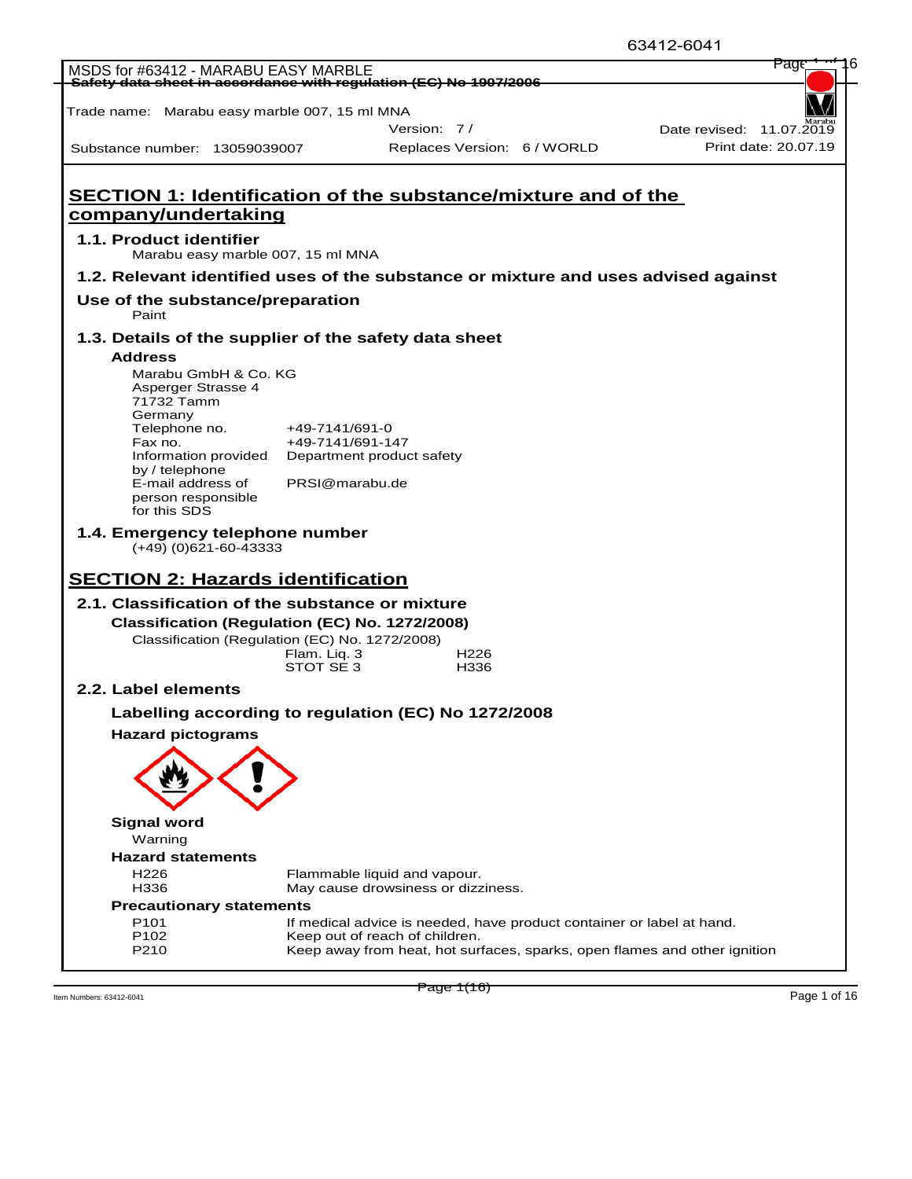|                                                                                                  |                  |                                                                                                             | 63412-6041               |
|--------------------------------------------------------------------------------------------------|------------------|-------------------------------------------------------------------------------------------------------------|--------------------------|
| MSDS for #63412 - MARABU EASY MARBLE                                                             |                  |                                                                                                             | rag                      |
| Safety data sheet in accordance with regulation (EC) No 1907/2006                                |                  |                                                                                                             |                          |
| Trade name: Marabu easy marble 007, 15 ml MNA                                                    |                  |                                                                                                             |                          |
|                                                                                                  |                  | Version: 7/                                                                                                 | Date revised: 11.07.2019 |
| Substance number: 13059039007                                                                    |                  | Replaces Version: 6 / WORLD                                                                                 | Print date: 20.07.19     |
|                                                                                                  |                  |                                                                                                             |                          |
|                                                                                                  |                  |                                                                                                             |                          |
|                                                                                                  |                  | SECTION 1: Identification of the substance/mixture and of the                                               |                          |
| company/undertaking                                                                              |                  |                                                                                                             |                          |
| 1.1. Product identifier                                                                          |                  |                                                                                                             |                          |
| Marabu easy marble 007, 15 ml MNA                                                                |                  |                                                                                                             |                          |
|                                                                                                  |                  | 1.2. Relevant identified uses of the substance or mixture and uses advised against                          |                          |
| Use of the substance/preparation<br>Paint                                                        |                  |                                                                                                             |                          |
| 1.3. Details of the supplier of the safety data sheet                                            |                  |                                                                                                             |                          |
| <b>Address</b>                                                                                   |                  |                                                                                                             |                          |
| Marabu GmbH & Co. KG                                                                             |                  |                                                                                                             |                          |
| Asperger Strasse 4<br>71732 Tamm                                                                 |                  |                                                                                                             |                          |
| Germany                                                                                          |                  |                                                                                                             |                          |
| Telephone no.<br>Fax no.                                                                         | $+49-7141/691-0$ |                                                                                                             |                          |
| Information provided                                                                             | +49-7141/691-147 | Department product safety                                                                                   |                          |
| by / telephone                                                                                   |                  |                                                                                                             |                          |
| E-mail address of<br>person responsible                                                          | PRSI@marabu.de   |                                                                                                             |                          |
| for this SDS                                                                                     |                  |                                                                                                             |                          |
| 1.4. Emergency telephone number                                                                  |                  |                                                                                                             |                          |
| $(+49)$ (0)621-60-43333                                                                          |                  |                                                                                                             |                          |
| <b>SECTION 2: Hazards identification</b>                                                         |                  |                                                                                                             |                          |
|                                                                                                  |                  |                                                                                                             |                          |
| 2.1. Classification of the substance or mixture                                                  |                  |                                                                                                             |                          |
| Classification (Regulation (EC) No. 1272/2008)<br>Classification (Regulation (EC) No. 1272/2008) |                  |                                                                                                             |                          |
|                                                                                                  | Flam. Liq. 3     | H <sub>226</sub>                                                                                            |                          |
|                                                                                                  | STOT SE 3        | H336                                                                                                        |                          |
| 2.2. Label elements                                                                              |                  |                                                                                                             |                          |
|                                                                                                  |                  | Labelling according to regulation (EC) No 1272/2008                                                         |                          |
| <b>Hazard pictograms</b>                                                                         |                  |                                                                                                             |                          |
|                                                                                                  |                  |                                                                                                             |                          |
|                                                                                                  |                  |                                                                                                             |                          |
|                                                                                                  |                  |                                                                                                             |                          |
|                                                                                                  |                  |                                                                                                             |                          |
| <b>Signal word</b>                                                                               |                  |                                                                                                             |                          |
| Warning                                                                                          |                  |                                                                                                             |                          |
| <b>Hazard statements</b><br>H <sub>226</sub>                                                     |                  |                                                                                                             |                          |
| H336                                                                                             |                  | Flammable liquid and vapour.<br>May cause drowsiness or dizziness.                                          |                          |
| <b>Precautionary statements</b>                                                                  |                  |                                                                                                             |                          |
| P <sub>101</sub>                                                                                 |                  | If medical advice is needed, have product container or label at hand.                                       |                          |
| P102<br>P210                                                                                     |                  | Keep out of reach of children.<br>Keep away from heat, hot surfaces, sparks, open flames and other ignition |                          |
|                                                                                                  |                  |                                                                                                             |                          |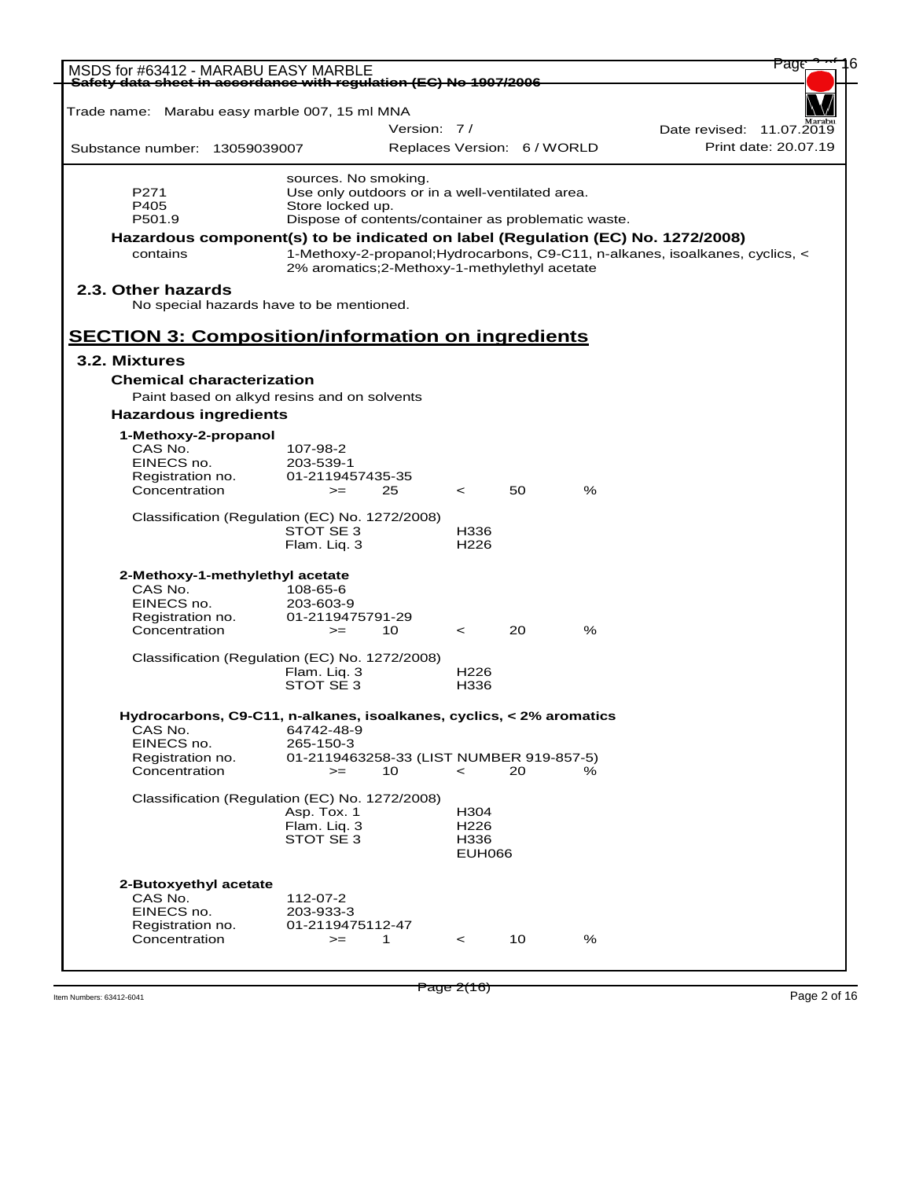| MSDS for #63412 - MARABU EASY MARBLE<br>Safety data sheet in accordance with regulation (EC) No 1907/2006 |                                                       |                             |                          |    |   |                                                                               |
|-----------------------------------------------------------------------------------------------------------|-------------------------------------------------------|-----------------------------|--------------------------|----|---|-------------------------------------------------------------------------------|
| Trade name: Marabu easy marble 007, 15 ml MNA                                                             |                                                       |                             |                          |    |   |                                                                               |
|                                                                                                           |                                                       | Version: 7/                 |                          |    |   | Date revised: 11.07.2019                                                      |
| Substance number: 13059039007                                                                             |                                                       | Replaces Version: 6 / WORLD |                          |    |   | Print date: 20.07.19                                                          |
|                                                                                                           | sources. No smoking.                                  |                             |                          |    |   |                                                                               |
| P271                                                                                                      | Use only outdoors or in a well-ventilated area.       |                             |                          |    |   |                                                                               |
| P405                                                                                                      | Store locked up.                                      |                             |                          |    |   |                                                                               |
| P501.9                                                                                                    | Dispose of contents/container as problematic waste.   |                             |                          |    |   |                                                                               |
| Hazardous component(s) to be indicated on label (Regulation (EC) No. 1272/2008)                           |                                                       |                             |                          |    |   |                                                                               |
| contains                                                                                                  | 2% aromatics; 2-Methoxy-1-methylethyl acetate         |                             |                          |    |   | 1-Methoxy-2-propanol; Hydrocarbons, C9-C11, n-alkanes, isoalkanes, cyclics, < |
| 2.3. Other hazards<br>No special hazards have to be mentioned.                                            |                                                       |                             |                          |    |   |                                                                               |
| <b>SECTION 3: Composition/information on ingredients</b>                                                  |                                                       |                             |                          |    |   |                                                                               |
| 3.2. Mixtures                                                                                             |                                                       |                             |                          |    |   |                                                                               |
| <b>Chemical characterization</b>                                                                          |                                                       |                             |                          |    |   |                                                                               |
| Paint based on alkyd resins and on solvents                                                               |                                                       |                             |                          |    |   |                                                                               |
| <b>Hazardous ingredients</b>                                                                              |                                                       |                             |                          |    |   |                                                                               |
| 1-Methoxy-2-propanol                                                                                      |                                                       |                             |                          |    |   |                                                                               |
| CAS No.                                                                                                   | 107-98-2                                              |                             |                          |    |   |                                                                               |
| EINECS no.                                                                                                | 203-539-1                                             |                             |                          |    |   |                                                                               |
| Registration no.<br>Concentration                                                                         | 01-2119457435-35<br>$>=$                              | 25                          | $\prec$                  | 50 | % |                                                                               |
|                                                                                                           |                                                       |                             |                          |    |   |                                                                               |
| Classification (Regulation (EC) No. 1272/2008)                                                            |                                                       |                             |                          |    |   |                                                                               |
|                                                                                                           | STOT SE 3<br>Flam. Liq. 3                             |                             | H336<br>H <sub>226</sub> |    |   |                                                                               |
|                                                                                                           |                                                       |                             |                          |    |   |                                                                               |
| 2-Methoxy-1-methylethyl acetate<br>CAS No.                                                                |                                                       |                             |                          |    |   |                                                                               |
| EINECS no.                                                                                                | 108-65-6<br>203-603-9                                 |                             |                          |    |   |                                                                               |
| Registration no.                                                                                          | 01-2119475791-29                                      |                             |                          |    |   |                                                                               |
| Concentration                                                                                             | $>=$                                                  | 10                          | $\prec$                  | 20 | % |                                                                               |
|                                                                                                           |                                                       |                             |                          |    |   |                                                                               |
| Classification (Regulation (EC) No. 1272/2008)                                                            |                                                       |                             |                          |    |   |                                                                               |
|                                                                                                           | Flam. Liq. 3<br>STOT SE 3                             |                             | H <sub>226</sub><br>H336 |    |   |                                                                               |
|                                                                                                           |                                                       |                             |                          |    |   |                                                                               |
| Hydrocarbons, C9-C11, n-alkanes, isoalkanes, cyclics, < 2% aromatics                                      |                                                       |                             |                          |    |   |                                                                               |
| CAS No.<br>EINECS no.                                                                                     | 64742-48-9                                            |                             |                          |    |   |                                                                               |
| Registration no.                                                                                          | 265-150-3<br>01-2119463258-33 (LIST NUMBER 919-857-5) |                             |                          |    |   |                                                                               |
| Concentration                                                                                             | $>=$                                                  | 10                          | $\,<\,$                  | 20 | % |                                                                               |
| Classification (Regulation (EC) No. 1272/2008)                                                            |                                                       |                             |                          |    |   |                                                                               |
|                                                                                                           | Asp. Tox. 1                                           |                             | H304                     |    |   |                                                                               |
|                                                                                                           | Flam. Liq. 3                                          |                             | H <sub>226</sub>         |    |   |                                                                               |
|                                                                                                           | STOT SE <sub>3</sub>                                  |                             | H336<br><b>EUH066</b>    |    |   |                                                                               |
|                                                                                                           |                                                       |                             |                          |    |   |                                                                               |
| 2-Butoxyethyl acetate                                                                                     |                                                       |                             |                          |    |   |                                                                               |
| CAS No.<br>EINECS no.                                                                                     | 112-07-2<br>203-933-3                                 |                             |                          |    |   |                                                                               |
| Registration no.                                                                                          | 01-2119475112-47                                      |                             |                          |    |   |                                                                               |
| Concentration                                                                                             | $>=$                                                  |                             | $\,<\,$                  | 10 | % |                                                                               |
|                                                                                                           |                                                       | 1                           |                          |    |   |                                                                               |

Item Numbers: 63412-6041 Page 2 of 16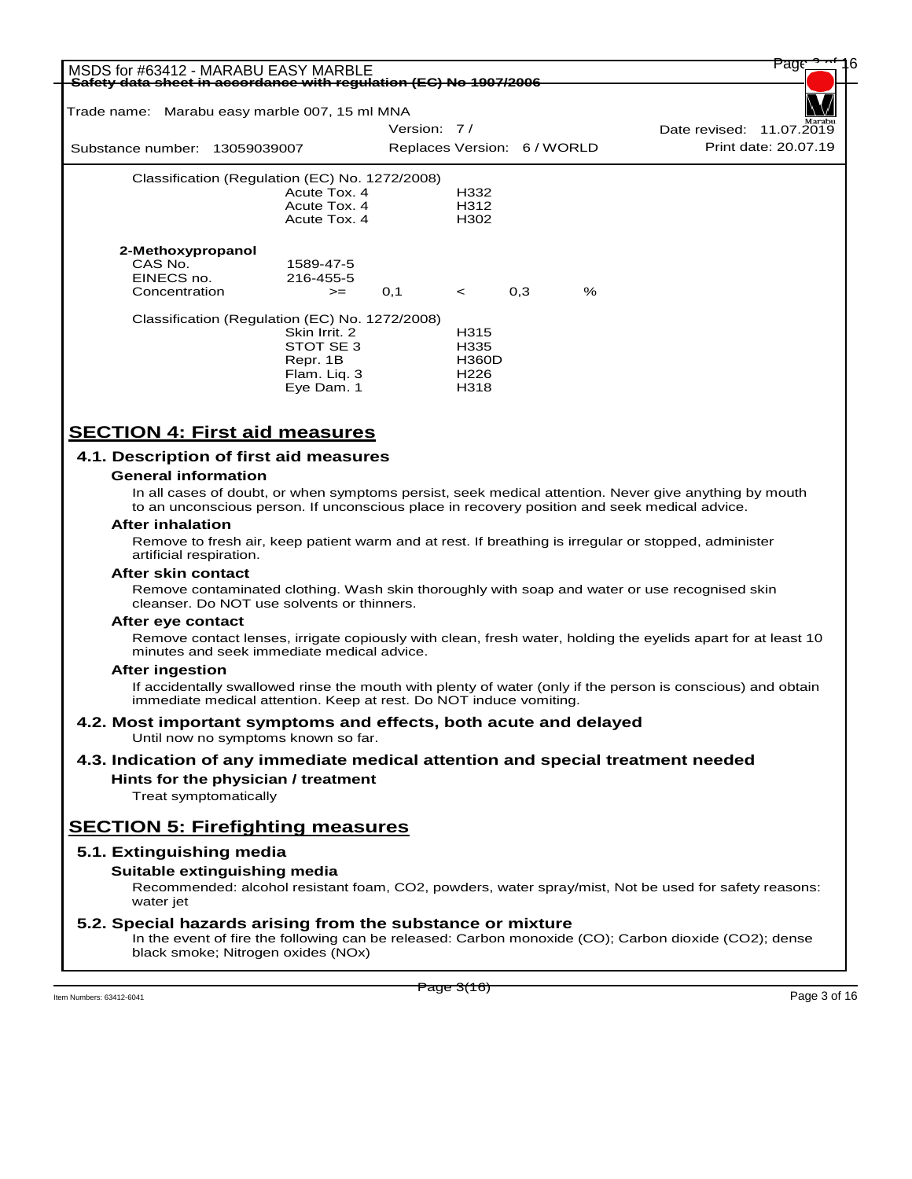| MSDS for #63412 - MARABU EASY MARBLE<br>Safety data sheet in accordance with regulation (EC) No 1907/2006 |                             |                  |     |      |                          | rage                 |  |
|-----------------------------------------------------------------------------------------------------------|-----------------------------|------------------|-----|------|--------------------------|----------------------|--|
| Trade name: Marabu easy marble 007, 15 ml MNA                                                             |                             |                  |     |      |                          |                      |  |
|                                                                                                           | Version: 7/                 |                  |     |      | Date revised: 11.07.2019 |                      |  |
| Substance number: 13059039007                                                                             | Replaces Version: 6 / WORLD |                  |     |      |                          | Print date: 20.07.19 |  |
| Classification (Regulation (EC) No. 1272/2008)                                                            |                             |                  |     |      |                          |                      |  |
| Acute Tox. 4                                                                                              |                             | H332             |     |      |                          |                      |  |
| Acute Tox. 4                                                                                              |                             | H312             |     |      |                          |                      |  |
| Acute Tox, 4                                                                                              |                             | H302             |     |      |                          |                      |  |
| 2-Methoxypropanol                                                                                         |                             |                  |     |      |                          |                      |  |
| CAS No.<br>1589-47-5                                                                                      |                             |                  |     |      |                          |                      |  |
| EINECS no.<br>216-455-5                                                                                   |                             |                  |     |      |                          |                      |  |
| Concentration<br>$>=$                                                                                     | 0,1                         | $\prec$          | 0,3 | $\%$ |                          |                      |  |
| Classification (Regulation (EC) No. 1272/2008)                                                            |                             |                  |     |      |                          |                      |  |
| Skin Irrit, 2                                                                                             |                             | H315             |     |      |                          |                      |  |
| STOT SE 3                                                                                                 |                             | H335             |     |      |                          |                      |  |
| Repr. 1B                                                                                                  |                             | <b>H360D</b>     |     |      |                          |                      |  |
| Flam. Liq. 3                                                                                              |                             | H <sub>226</sub> |     |      |                          |                      |  |
| Eye Dam. 1                                                                                                |                             | H318             |     |      |                          |                      |  |

# **SECTION 4: First aid measures**

## **4.1. Description of first aid measures**

### **General information**

In all cases of doubt, or when symptoms persist, seek medical attention. Never give anything by mouth to an unconscious person. If unconscious place in recovery position and seek medical advice.

#### **After inhalation**

Remove to fresh air, keep patient warm and at rest. If breathing is irregular or stopped, administer artificial respiration.

### **After skin contact**

Remove contaminated clothing. Wash skin thoroughly with soap and water or use recognised skin cleanser. Do NOT use solvents or thinners.

### **After eye contact**

Remove contact lenses, irrigate copiously with clean, fresh water, holding the eyelids apart for at least 10 minutes and seek immediate medical advice.

### **After ingestion**

If accidentally swallowed rinse the mouth with plenty of water (only if the person is conscious) and obtain immediate medical attention. Keep at rest. Do NOT induce vomiting.

#### **4.2. Most important symptoms and effects, both acute and delayed** Until now no symptoms known so far.

# **4.3. Indication of any immediate medical attention and special treatment needed**

**Hints for the physician / treatment**

Treat symptomatically

# **SECTION 5: Firefighting measures**

## **5.1. Extinguishing media**

## **Suitable extinguishing media**

Recommended: alcohol resistant foam, CO2, powders, water spray/mist, Not be used for safety reasons: water jet

## **5.2. Special hazards arising from the substance or mixture**

In the event of fire the following can be released: Carbon monoxide (CO); Carbon dioxide (CO2); dense black smoke; Nitrogen oxides (NOx)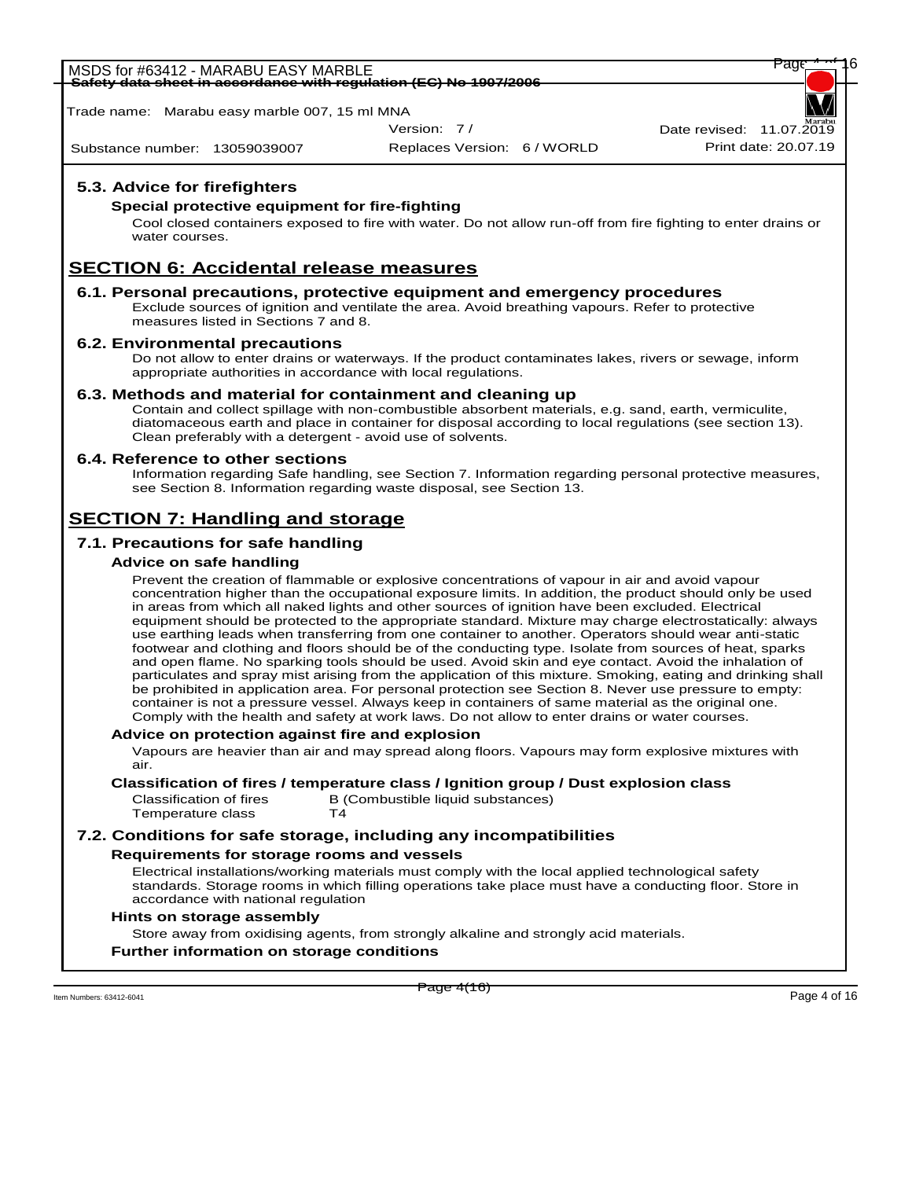MSDS for #63412 - MARABU EASY MARBLE<br><del>Safety data sheet in accordance with regulation (EC) No 1907/2006</del> **Safety data sheet in accordance with regulation (EC) No 1907/2006**

Trade name: Marabu easy marble 007, 15 ml MNA

Version: 7 /

Substance number: 13059039007

Replaces Version: 6 / WORLD Print date: 20.07.19 Date revised:  $11.07.\overline{20}$ 

# **5.3. Advice for firefighters**

## **Special protective equipment for fire-fighting**

Cool closed containers exposed to fire with water. Do not allow run-off from fire fighting to enter drains or water courses.

# **SECTION 6: Accidental release measures**

## **6.1. Personal precautions, protective equipment and emergency procedures**

Exclude sources of ignition and ventilate the area. Avoid breathing vapours. Refer to protective measures listed in Sections 7 and 8.

## **6.2. Environmental precautions**

Do not allow to enter drains or waterways. If the product contaminates lakes, rivers or sewage, inform appropriate authorities in accordance with local regulations.

## **6.3. Methods and material for containment and cleaning up**

Contain and collect spillage with non-combustible absorbent materials, e.g. sand, earth, vermiculite, diatomaceous earth and place in container for disposal according to local regulations (see section 13). Clean preferably with a detergent - avoid use of solvents.

## **6.4. Reference to other sections**

Information regarding Safe handling, see Section 7. Information regarding personal protective measures, see Section 8. Information regarding waste disposal, see Section 13.

# **SECTION 7: Handling and storage**

# **7.1. Precautions for safe handling**

## **Advice on safe handling**

Prevent the creation of flammable or explosive concentrations of vapour in air and avoid vapour concentration higher than the occupational exposure limits. In addition, the product should only be used in areas from which all naked lights and other sources of ignition have been excluded. Electrical equipment should be protected to the appropriate standard. Mixture may charge electrostatically: always use earthing leads when transferring from one container to another. Operators should wear anti-static footwear and clothing and floors should be of the conducting type. Isolate from sources of heat, sparks and open flame. No sparking tools should be used. Avoid skin and eye contact. Avoid the inhalation of particulates and spray mist arising from the application of this mixture. Smoking, eating and drinking shall be prohibited in application area. For personal protection see Section 8. Never use pressure to empty: container is not a pressure vessel. Always keep in containers of same material as the original one. Comply with the health and safety at work laws. Do not allow to enter drains or water courses.

### **Advice on protection against fire and explosion**

Vapours are heavier than air and may spread along floors. Vapours may form explosive mixtures with air.

**Classification of fires / temperature class / Ignition group / Dust explosion class**

Classification of fires B (Combustible liquid substances)<br>Temperature class T4 Temperature class

# **7.2. Conditions for safe storage, including any incompatibilities**

## **Requirements for storage rooms and vessels**

Electrical installations/working materials must comply with the local applied technological safety standards. Storage rooms in which filling operations take place must have a conducting floor. Store in accordance with national regulation

### **Hints on storage assembly**

Store away from oxidising agents, from strongly alkaline and strongly acid materials.

## **Further information on storage conditions**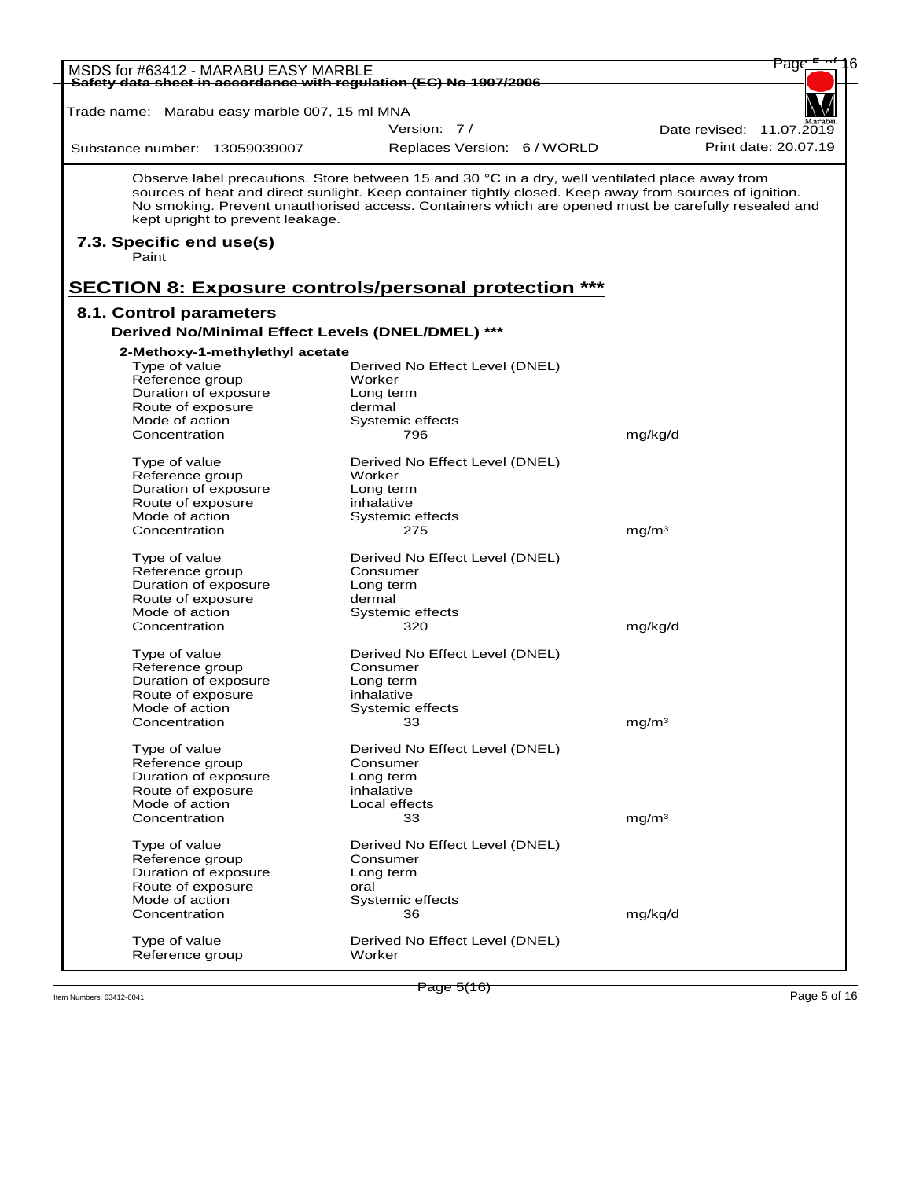| <del>Safety data sheet in accordance with regulation (EC) No 1907/2006</del><br>Trade name: Marabu easy marble 007, 15 ml MNA<br>Version: 7/<br>Date revised: 11.07.2019<br>Replaces Version: 6 / WORLD<br>Substance number: 13059039007<br>Observe label precautions. Store between 15 and 30 °C in a dry, well ventilated place away from<br>sources of heat and direct sunlight. Keep container tightly closed. Keep away from sources of ignition.<br>No smoking. Prevent unauthorised access. Containers which are opened must be carefully resealed and<br>kept upright to prevent leakage.<br>7.3. Specific end use(s)<br>Paint<br><b>SECTION 8: Exposure controls/personal protection ***</b><br>8.1. Control parameters<br>Derived No/Minimal Effect Levels (DNEL/DMEL) ***<br>2-Methoxy-1-methylethyl acetate<br>Type of value<br>Derived No Effect Level (DNEL)<br>Worker<br>Reference group<br>Duration of exposure<br>Long term<br>Route of exposure<br>dermal<br>Mode of action<br>Systemic effects<br>mg/kg/d<br>Concentration<br>796<br>Type of value<br>Derived No Effect Level (DNEL)<br>Reference group<br>Worker<br>Duration of exposure<br>Long term<br>Route of exposure<br>inhalative<br>Mode of action<br>Systemic effects<br>mg/m <sup>3</sup><br>Concentration<br>275<br>Type of value<br>Derived No Effect Level (DNEL)<br>Reference group<br>Consumer<br>Duration of exposure<br>Long term<br>Route of exposure<br>dermal<br>Mode of action<br>Systemic effects<br>mg/kg/d<br>Concentration<br>320<br>Type of value<br>Derived No Effect Level (DNEL)<br>Reference group<br>Consumer<br>Duration of exposure<br>Long term<br>Route of exposure<br>inhalative<br>Mode of action<br>Systemic effects<br>$\overline{\textbf{33}}$<br>mg/m <sup>3</sup><br>Concentration<br>Type of value<br>Derived No Effect Level (DNEL)<br>Reference group<br>Consumer<br>Duration of exposure<br>Long term<br>inhalative<br>Route of exposure<br>Mode of action<br>Local effects<br>Concentration<br>33<br>mg/m <sup>3</sup><br>Type of value<br>Derived No Effect Level (DNEL)<br>Reference group<br>Consumer<br>Duration of exposure<br>Long term<br>Route of exposure<br>oral<br>Mode of action<br>Systemic effects<br>Concentration<br>36 | Page                 | MSDS for #63412 - MARABU EASY MARBLE |  |
|------------------------------------------------------------------------------------------------------------------------------------------------------------------------------------------------------------------------------------------------------------------------------------------------------------------------------------------------------------------------------------------------------------------------------------------------------------------------------------------------------------------------------------------------------------------------------------------------------------------------------------------------------------------------------------------------------------------------------------------------------------------------------------------------------------------------------------------------------------------------------------------------------------------------------------------------------------------------------------------------------------------------------------------------------------------------------------------------------------------------------------------------------------------------------------------------------------------------------------------------------------------------------------------------------------------------------------------------------------------------------------------------------------------------------------------------------------------------------------------------------------------------------------------------------------------------------------------------------------------------------------------------------------------------------------------------------------------------------------------------------------------------------------------------------------------------------------------------------------------------------------------------------------------------------------------------------------------------------------------------------------------------------------------------------------------------------------------------------------------------------------------------------------------------------------------------------------------------------------------------------------|----------------------|--------------------------------------|--|
|                                                                                                                                                                                                                                                                                                                                                                                                                                                                                                                                                                                                                                                                                                                                                                                                                                                                                                                                                                                                                                                                                                                                                                                                                                                                                                                                                                                                                                                                                                                                                                                                                                                                                                                                                                                                                                                                                                                                                                                                                                                                                                                                                                                                                                                            |                      |                                      |  |
|                                                                                                                                                                                                                                                                                                                                                                                                                                                                                                                                                                                                                                                                                                                                                                                                                                                                                                                                                                                                                                                                                                                                                                                                                                                                                                                                                                                                                                                                                                                                                                                                                                                                                                                                                                                                                                                                                                                                                                                                                                                                                                                                                                                                                                                            |                      |                                      |  |
|                                                                                                                                                                                                                                                                                                                                                                                                                                                                                                                                                                                                                                                                                                                                                                                                                                                                                                                                                                                                                                                                                                                                                                                                                                                                                                                                                                                                                                                                                                                                                                                                                                                                                                                                                                                                                                                                                                                                                                                                                                                                                                                                                                                                                                                            | Print date: 20.07.19 |                                      |  |
|                                                                                                                                                                                                                                                                                                                                                                                                                                                                                                                                                                                                                                                                                                                                                                                                                                                                                                                                                                                                                                                                                                                                                                                                                                                                                                                                                                                                                                                                                                                                                                                                                                                                                                                                                                                                                                                                                                                                                                                                                                                                                                                                                                                                                                                            |                      |                                      |  |
|                                                                                                                                                                                                                                                                                                                                                                                                                                                                                                                                                                                                                                                                                                                                                                                                                                                                                                                                                                                                                                                                                                                                                                                                                                                                                                                                                                                                                                                                                                                                                                                                                                                                                                                                                                                                                                                                                                                                                                                                                                                                                                                                                                                                                                                            |                      |                                      |  |
|                                                                                                                                                                                                                                                                                                                                                                                                                                                                                                                                                                                                                                                                                                                                                                                                                                                                                                                                                                                                                                                                                                                                                                                                                                                                                                                                                                                                                                                                                                                                                                                                                                                                                                                                                                                                                                                                                                                                                                                                                                                                                                                                                                                                                                                            |                      |                                      |  |
|                                                                                                                                                                                                                                                                                                                                                                                                                                                                                                                                                                                                                                                                                                                                                                                                                                                                                                                                                                                                                                                                                                                                                                                                                                                                                                                                                                                                                                                                                                                                                                                                                                                                                                                                                                                                                                                                                                                                                                                                                                                                                                                                                                                                                                                            |                      |                                      |  |
|                                                                                                                                                                                                                                                                                                                                                                                                                                                                                                                                                                                                                                                                                                                                                                                                                                                                                                                                                                                                                                                                                                                                                                                                                                                                                                                                                                                                                                                                                                                                                                                                                                                                                                                                                                                                                                                                                                                                                                                                                                                                                                                                                                                                                                                            |                      |                                      |  |
|                                                                                                                                                                                                                                                                                                                                                                                                                                                                                                                                                                                                                                                                                                                                                                                                                                                                                                                                                                                                                                                                                                                                                                                                                                                                                                                                                                                                                                                                                                                                                                                                                                                                                                                                                                                                                                                                                                                                                                                                                                                                                                                                                                                                                                                            |                      |                                      |  |
|                                                                                                                                                                                                                                                                                                                                                                                                                                                                                                                                                                                                                                                                                                                                                                                                                                                                                                                                                                                                                                                                                                                                                                                                                                                                                                                                                                                                                                                                                                                                                                                                                                                                                                                                                                                                                                                                                                                                                                                                                                                                                                                                                                                                                                                            |                      |                                      |  |
|                                                                                                                                                                                                                                                                                                                                                                                                                                                                                                                                                                                                                                                                                                                                                                                                                                                                                                                                                                                                                                                                                                                                                                                                                                                                                                                                                                                                                                                                                                                                                                                                                                                                                                                                                                                                                                                                                                                                                                                                                                                                                                                                                                                                                                                            |                      |                                      |  |
|                                                                                                                                                                                                                                                                                                                                                                                                                                                                                                                                                                                                                                                                                                                                                                                                                                                                                                                                                                                                                                                                                                                                                                                                                                                                                                                                                                                                                                                                                                                                                                                                                                                                                                                                                                                                                                                                                                                                                                                                                                                                                                                                                                                                                                                            |                      |                                      |  |
|                                                                                                                                                                                                                                                                                                                                                                                                                                                                                                                                                                                                                                                                                                                                                                                                                                                                                                                                                                                                                                                                                                                                                                                                                                                                                                                                                                                                                                                                                                                                                                                                                                                                                                                                                                                                                                                                                                                                                                                                                                                                                                                                                                                                                                                            |                      |                                      |  |
|                                                                                                                                                                                                                                                                                                                                                                                                                                                                                                                                                                                                                                                                                                                                                                                                                                                                                                                                                                                                                                                                                                                                                                                                                                                                                                                                                                                                                                                                                                                                                                                                                                                                                                                                                                                                                                                                                                                                                                                                                                                                                                                                                                                                                                                            |                      |                                      |  |
|                                                                                                                                                                                                                                                                                                                                                                                                                                                                                                                                                                                                                                                                                                                                                                                                                                                                                                                                                                                                                                                                                                                                                                                                                                                                                                                                                                                                                                                                                                                                                                                                                                                                                                                                                                                                                                                                                                                                                                                                                                                                                                                                                                                                                                                            |                      |                                      |  |
|                                                                                                                                                                                                                                                                                                                                                                                                                                                                                                                                                                                                                                                                                                                                                                                                                                                                                                                                                                                                                                                                                                                                                                                                                                                                                                                                                                                                                                                                                                                                                                                                                                                                                                                                                                                                                                                                                                                                                                                                                                                                                                                                                                                                                                                            |                      |                                      |  |
|                                                                                                                                                                                                                                                                                                                                                                                                                                                                                                                                                                                                                                                                                                                                                                                                                                                                                                                                                                                                                                                                                                                                                                                                                                                                                                                                                                                                                                                                                                                                                                                                                                                                                                                                                                                                                                                                                                                                                                                                                                                                                                                                                                                                                                                            |                      |                                      |  |
|                                                                                                                                                                                                                                                                                                                                                                                                                                                                                                                                                                                                                                                                                                                                                                                                                                                                                                                                                                                                                                                                                                                                                                                                                                                                                                                                                                                                                                                                                                                                                                                                                                                                                                                                                                                                                                                                                                                                                                                                                                                                                                                                                                                                                                                            |                      |                                      |  |
|                                                                                                                                                                                                                                                                                                                                                                                                                                                                                                                                                                                                                                                                                                                                                                                                                                                                                                                                                                                                                                                                                                                                                                                                                                                                                                                                                                                                                                                                                                                                                                                                                                                                                                                                                                                                                                                                                                                                                                                                                                                                                                                                                                                                                                                            |                      |                                      |  |
|                                                                                                                                                                                                                                                                                                                                                                                                                                                                                                                                                                                                                                                                                                                                                                                                                                                                                                                                                                                                                                                                                                                                                                                                                                                                                                                                                                                                                                                                                                                                                                                                                                                                                                                                                                                                                                                                                                                                                                                                                                                                                                                                                                                                                                                            |                      |                                      |  |
|                                                                                                                                                                                                                                                                                                                                                                                                                                                                                                                                                                                                                                                                                                                                                                                                                                                                                                                                                                                                                                                                                                                                                                                                                                                                                                                                                                                                                                                                                                                                                                                                                                                                                                                                                                                                                                                                                                                                                                                                                                                                                                                                                                                                                                                            |                      |                                      |  |
|                                                                                                                                                                                                                                                                                                                                                                                                                                                                                                                                                                                                                                                                                                                                                                                                                                                                                                                                                                                                                                                                                                                                                                                                                                                                                                                                                                                                                                                                                                                                                                                                                                                                                                                                                                                                                                                                                                                                                                                                                                                                                                                                                                                                                                                            |                      |                                      |  |
|                                                                                                                                                                                                                                                                                                                                                                                                                                                                                                                                                                                                                                                                                                                                                                                                                                                                                                                                                                                                                                                                                                                                                                                                                                                                                                                                                                                                                                                                                                                                                                                                                                                                                                                                                                                                                                                                                                                                                                                                                                                                                                                                                                                                                                                            |                      |                                      |  |
|                                                                                                                                                                                                                                                                                                                                                                                                                                                                                                                                                                                                                                                                                                                                                                                                                                                                                                                                                                                                                                                                                                                                                                                                                                                                                                                                                                                                                                                                                                                                                                                                                                                                                                                                                                                                                                                                                                                                                                                                                                                                                                                                                                                                                                                            |                      |                                      |  |
|                                                                                                                                                                                                                                                                                                                                                                                                                                                                                                                                                                                                                                                                                                                                                                                                                                                                                                                                                                                                                                                                                                                                                                                                                                                                                                                                                                                                                                                                                                                                                                                                                                                                                                                                                                                                                                                                                                                                                                                                                                                                                                                                                                                                                                                            |                      |                                      |  |
|                                                                                                                                                                                                                                                                                                                                                                                                                                                                                                                                                                                                                                                                                                                                                                                                                                                                                                                                                                                                                                                                                                                                                                                                                                                                                                                                                                                                                                                                                                                                                                                                                                                                                                                                                                                                                                                                                                                                                                                                                                                                                                                                                                                                                                                            |                      |                                      |  |
|                                                                                                                                                                                                                                                                                                                                                                                                                                                                                                                                                                                                                                                                                                                                                                                                                                                                                                                                                                                                                                                                                                                                                                                                                                                                                                                                                                                                                                                                                                                                                                                                                                                                                                                                                                                                                                                                                                                                                                                                                                                                                                                                                                                                                                                            |                      |                                      |  |
|                                                                                                                                                                                                                                                                                                                                                                                                                                                                                                                                                                                                                                                                                                                                                                                                                                                                                                                                                                                                                                                                                                                                                                                                                                                                                                                                                                                                                                                                                                                                                                                                                                                                                                                                                                                                                                                                                                                                                                                                                                                                                                                                                                                                                                                            |                      |                                      |  |
|                                                                                                                                                                                                                                                                                                                                                                                                                                                                                                                                                                                                                                                                                                                                                                                                                                                                                                                                                                                                                                                                                                                                                                                                                                                                                                                                                                                                                                                                                                                                                                                                                                                                                                                                                                                                                                                                                                                                                                                                                                                                                                                                                                                                                                                            |                      |                                      |  |
|                                                                                                                                                                                                                                                                                                                                                                                                                                                                                                                                                                                                                                                                                                                                                                                                                                                                                                                                                                                                                                                                                                                                                                                                                                                                                                                                                                                                                                                                                                                                                                                                                                                                                                                                                                                                                                                                                                                                                                                                                                                                                                                                                                                                                                                            |                      |                                      |  |
|                                                                                                                                                                                                                                                                                                                                                                                                                                                                                                                                                                                                                                                                                                                                                                                                                                                                                                                                                                                                                                                                                                                                                                                                                                                                                                                                                                                                                                                                                                                                                                                                                                                                                                                                                                                                                                                                                                                                                                                                                                                                                                                                                                                                                                                            |                      |                                      |  |
|                                                                                                                                                                                                                                                                                                                                                                                                                                                                                                                                                                                                                                                                                                                                                                                                                                                                                                                                                                                                                                                                                                                                                                                                                                                                                                                                                                                                                                                                                                                                                                                                                                                                                                                                                                                                                                                                                                                                                                                                                                                                                                                                                                                                                                                            |                      |                                      |  |
|                                                                                                                                                                                                                                                                                                                                                                                                                                                                                                                                                                                                                                                                                                                                                                                                                                                                                                                                                                                                                                                                                                                                                                                                                                                                                                                                                                                                                                                                                                                                                                                                                                                                                                                                                                                                                                                                                                                                                                                                                                                                                                                                                                                                                                                            |                      |                                      |  |
|                                                                                                                                                                                                                                                                                                                                                                                                                                                                                                                                                                                                                                                                                                                                                                                                                                                                                                                                                                                                                                                                                                                                                                                                                                                                                                                                                                                                                                                                                                                                                                                                                                                                                                                                                                                                                                                                                                                                                                                                                                                                                                                                                                                                                                                            |                      |                                      |  |
|                                                                                                                                                                                                                                                                                                                                                                                                                                                                                                                                                                                                                                                                                                                                                                                                                                                                                                                                                                                                                                                                                                                                                                                                                                                                                                                                                                                                                                                                                                                                                                                                                                                                                                                                                                                                                                                                                                                                                                                                                                                                                                                                                                                                                                                            |                      |                                      |  |
|                                                                                                                                                                                                                                                                                                                                                                                                                                                                                                                                                                                                                                                                                                                                                                                                                                                                                                                                                                                                                                                                                                                                                                                                                                                                                                                                                                                                                                                                                                                                                                                                                                                                                                                                                                                                                                                                                                                                                                                                                                                                                                                                                                                                                                                            |                      |                                      |  |
|                                                                                                                                                                                                                                                                                                                                                                                                                                                                                                                                                                                                                                                                                                                                                                                                                                                                                                                                                                                                                                                                                                                                                                                                                                                                                                                                                                                                                                                                                                                                                                                                                                                                                                                                                                                                                                                                                                                                                                                                                                                                                                                                                                                                                                                            |                      |                                      |  |
|                                                                                                                                                                                                                                                                                                                                                                                                                                                                                                                                                                                                                                                                                                                                                                                                                                                                                                                                                                                                                                                                                                                                                                                                                                                                                                                                                                                                                                                                                                                                                                                                                                                                                                                                                                                                                                                                                                                                                                                                                                                                                                                                                                                                                                                            |                      |                                      |  |
|                                                                                                                                                                                                                                                                                                                                                                                                                                                                                                                                                                                                                                                                                                                                                                                                                                                                                                                                                                                                                                                                                                                                                                                                                                                                                                                                                                                                                                                                                                                                                                                                                                                                                                                                                                                                                                                                                                                                                                                                                                                                                                                                                                                                                                                            |                      |                                      |  |
|                                                                                                                                                                                                                                                                                                                                                                                                                                                                                                                                                                                                                                                                                                                                                                                                                                                                                                                                                                                                                                                                                                                                                                                                                                                                                                                                                                                                                                                                                                                                                                                                                                                                                                                                                                                                                                                                                                                                                                                                                                                                                                                                                                                                                                                            |                      |                                      |  |
|                                                                                                                                                                                                                                                                                                                                                                                                                                                                                                                                                                                                                                                                                                                                                                                                                                                                                                                                                                                                                                                                                                                                                                                                                                                                                                                                                                                                                                                                                                                                                                                                                                                                                                                                                                                                                                                                                                                                                                                                                                                                                                                                                                                                                                                            |                      |                                      |  |
|                                                                                                                                                                                                                                                                                                                                                                                                                                                                                                                                                                                                                                                                                                                                                                                                                                                                                                                                                                                                                                                                                                                                                                                                                                                                                                                                                                                                                                                                                                                                                                                                                                                                                                                                                                                                                                                                                                                                                                                                                                                                                                                                                                                                                                                            |                      |                                      |  |
|                                                                                                                                                                                                                                                                                                                                                                                                                                                                                                                                                                                                                                                                                                                                                                                                                                                                                                                                                                                                                                                                                                                                                                                                                                                                                                                                                                                                                                                                                                                                                                                                                                                                                                                                                                                                                                                                                                                                                                                                                                                                                                                                                                                                                                                            |                      |                                      |  |
|                                                                                                                                                                                                                                                                                                                                                                                                                                                                                                                                                                                                                                                                                                                                                                                                                                                                                                                                                                                                                                                                                                                                                                                                                                                                                                                                                                                                                                                                                                                                                                                                                                                                                                                                                                                                                                                                                                                                                                                                                                                                                                                                                                                                                                                            |                      |                                      |  |
|                                                                                                                                                                                                                                                                                                                                                                                                                                                                                                                                                                                                                                                                                                                                                                                                                                                                                                                                                                                                                                                                                                                                                                                                                                                                                                                                                                                                                                                                                                                                                                                                                                                                                                                                                                                                                                                                                                                                                                                                                                                                                                                                                                                                                                                            |                      |                                      |  |
|                                                                                                                                                                                                                                                                                                                                                                                                                                                                                                                                                                                                                                                                                                                                                                                                                                                                                                                                                                                                                                                                                                                                                                                                                                                                                                                                                                                                                                                                                                                                                                                                                                                                                                                                                                                                                                                                                                                                                                                                                                                                                                                                                                                                                                                            | mg/kg/d              |                                      |  |
| Type of value<br>Derived No Effect Level (DNEL)                                                                                                                                                                                                                                                                                                                                                                                                                                                                                                                                                                                                                                                                                                                                                                                                                                                                                                                                                                                                                                                                                                                                                                                                                                                                                                                                                                                                                                                                                                                                                                                                                                                                                                                                                                                                                                                                                                                                                                                                                                                                                                                                                                                                            |                      |                                      |  |
| Reference group<br>Worker                                                                                                                                                                                                                                                                                                                                                                                                                                                                                                                                                                                                                                                                                                                                                                                                                                                                                                                                                                                                                                                                                                                                                                                                                                                                                                                                                                                                                                                                                                                                                                                                                                                                                                                                                                                                                                                                                                                                                                                                                                                                                                                                                                                                                                  |                      |                                      |  |

Item Numbers: 63412-6041 Page 5 of 16

Page 5(16)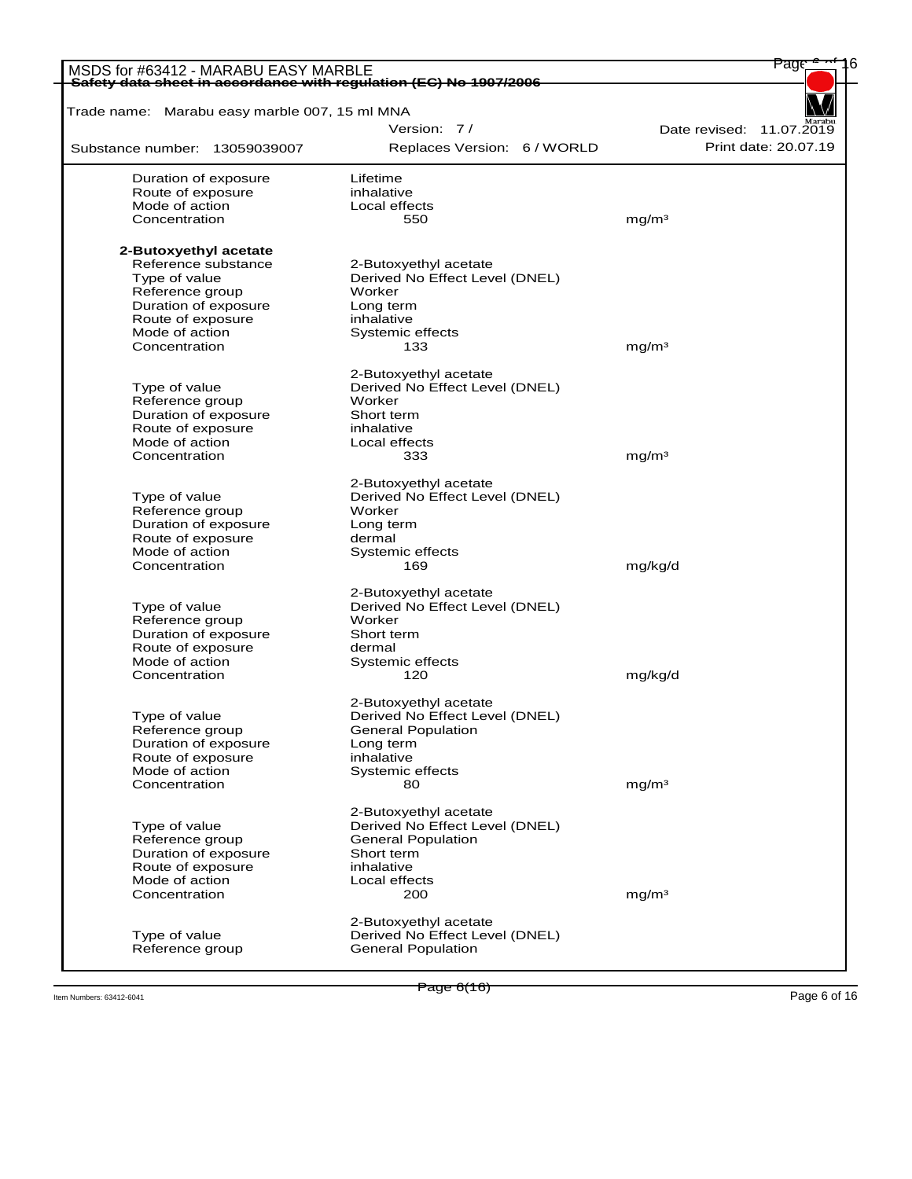| MSDS for #63412 - MARABU EASY MARBLE<br>Safety data sheet in accordance with regulation (EC) No 1907/2006 |                                |                          |
|-----------------------------------------------------------------------------------------------------------|--------------------------------|--------------------------|
| Trade name: Marabu easy marble 007, 15 ml MNA                                                             |                                |                          |
|                                                                                                           | Version: 7/                    | Date revised: 11.07.2019 |
| Substance number: 13059039007                                                                             | Replaces Version: 6 / WORLD    | Print date: 20.07.19     |
|                                                                                                           |                                |                          |
| Duration of exposure                                                                                      | Lifetime                       |                          |
| Route of exposure                                                                                         | inhalative                     |                          |
| Mode of action                                                                                            | Local effects                  |                          |
| Concentration                                                                                             | 550                            | mq/m <sup>3</sup>        |
| 2-Butoxyethyl acetate                                                                                     |                                |                          |
| Reference substance                                                                                       | 2-Butoxyethyl acetate          |                          |
| Type of value                                                                                             | Derived No Effect Level (DNEL) |                          |
| Reference group                                                                                           | Worker                         |                          |
| Duration of exposure                                                                                      | Long term                      |                          |
| Route of exposure                                                                                         | inhalative                     |                          |
| Mode of action                                                                                            | Systemic effects               |                          |
| Concentration                                                                                             | 133                            | mg/m <sup>3</sup>        |
|                                                                                                           |                                |                          |
|                                                                                                           | 2-Butoxyethyl acetate          |                          |
| Type of value                                                                                             | Derived No Effect Level (DNEL) |                          |
| Reference group                                                                                           | Worker                         |                          |
| Duration of exposure                                                                                      | Short term                     |                          |
| Route of exposure                                                                                         | inhalative                     |                          |
| Mode of action                                                                                            | Local effects                  |                          |
| Concentration                                                                                             | 333                            | mg/m <sup>3</sup>        |
|                                                                                                           | 2-Butoxyethyl acetate          |                          |
| Type of value                                                                                             | Derived No Effect Level (DNEL) |                          |
| Reference group                                                                                           | Worker                         |                          |
| Duration of exposure                                                                                      | Long term                      |                          |
| Route of exposure                                                                                         | dermal                         |                          |
| Mode of action                                                                                            | Systemic effects               |                          |
| Concentration                                                                                             | 169                            | mg/kg/d                  |
|                                                                                                           |                                |                          |
|                                                                                                           | 2-Butoxyethyl acetate          |                          |
| Type of value                                                                                             | Derived No Effect Level (DNEL) |                          |
| Reference group                                                                                           | Worker                         |                          |
| Duration of exposure<br>Route of exposure                                                                 | Short term                     |                          |
| Mode of action                                                                                            | dermal                         |                          |
| Concentration                                                                                             | Systemic effects<br>120        | mg/kg/d                  |
|                                                                                                           |                                |                          |
|                                                                                                           | 2-Butoxyethyl acetate          |                          |
| Type of value                                                                                             | Derived No Effect Level (DNEL) |                          |
| Reference group                                                                                           | <b>General Population</b>      |                          |
| Duration of exposure                                                                                      | Long term                      |                          |
| Route of exposure                                                                                         | inhalative                     |                          |
| Mode of action                                                                                            | Systemic effects               |                          |
| Concentration                                                                                             | 80                             | mg/m <sup>3</sup>        |
|                                                                                                           |                                |                          |
|                                                                                                           | 2-Butoxyethyl acetate          |                          |
| Type of value                                                                                             | Derived No Effect Level (DNEL) |                          |
| Reference group                                                                                           | <b>General Population</b>      |                          |
| Duration of exposure                                                                                      | Short term                     |                          |
| Route of exposure                                                                                         | inhalative                     |                          |
| Mode of action                                                                                            | Local effects                  |                          |
| Concentration                                                                                             | 200                            | mg/m <sup>3</sup>        |
|                                                                                                           | 2-Butoxyethyl acetate          |                          |
| Type of value                                                                                             | Derived No Effect Level (DNEL) |                          |
| Reference group                                                                                           | <b>General Population</b>      |                          |
|                                                                                                           |                                |                          |

Item Numbers: 63412-6041 Page 6 of 16<br>Item Numbers: 63412-6041 Page 6 of 16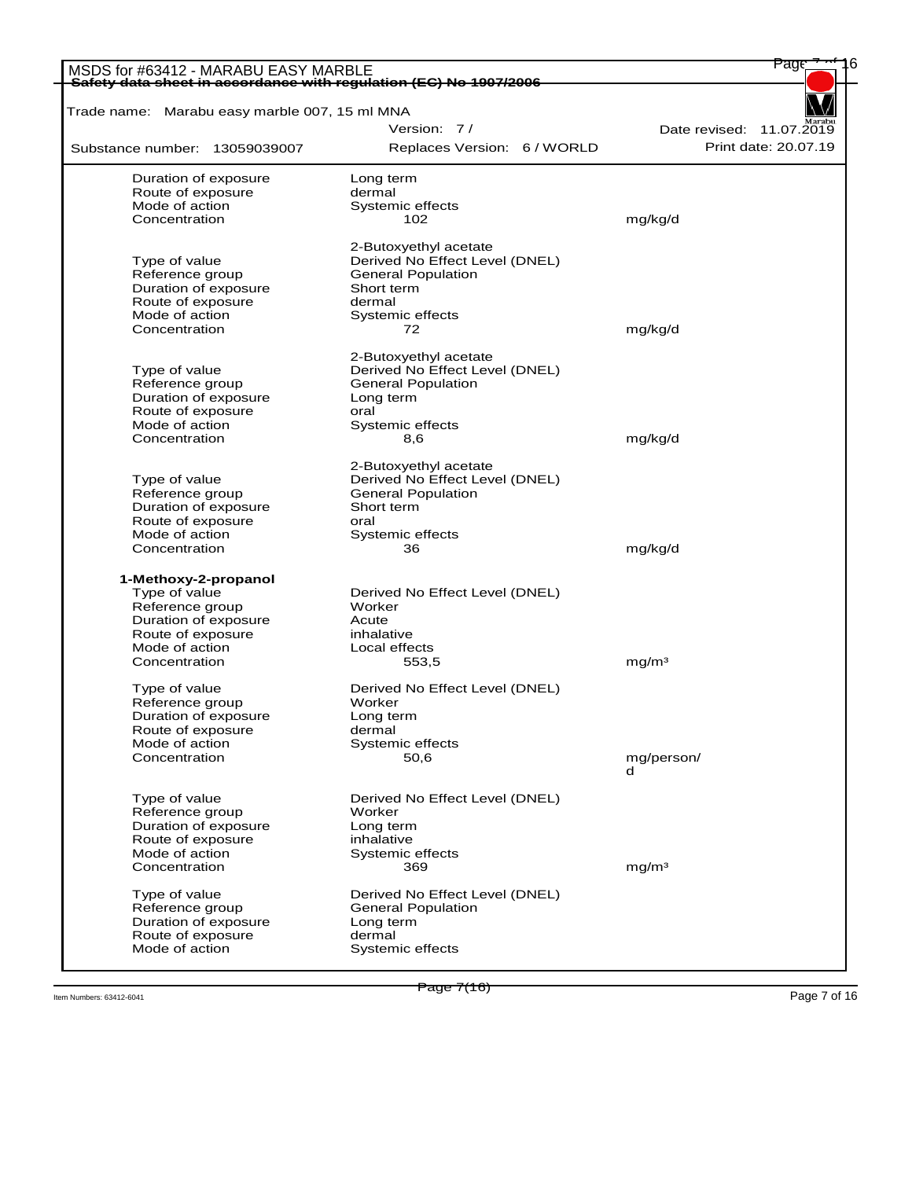| Safety data sheet in accordance with regulation (EC) No 1907/2006 |                                          |                          |
|-------------------------------------------------------------------|------------------------------------------|--------------------------|
| Trade name: Marabu easy marble 007, 15 ml MNA                     |                                          |                          |
|                                                                   | Version: 7/                              | Date revised: 11.07.2019 |
| Substance number: 13059039007                                     | Replaces Version: 6 / WORLD              | Print date: 20.07.19     |
| Duration of exposure                                              | Long term                                |                          |
| Route of exposure                                                 | dermal                                   |                          |
| Mode of action                                                    | Systemic effects                         |                          |
| Concentration                                                     | 102                                      | mg/kg/d                  |
|                                                                   | 2-Butoxyethyl acetate                    |                          |
| Type of value                                                     | Derived No Effect Level (DNEL)           |                          |
| Reference group                                                   | <b>General Population</b>                |                          |
| Duration of exposure                                              | Short term                               |                          |
| Route of exposure                                                 | dermal                                   |                          |
| Mode of action                                                    | Systemic effects                         |                          |
| Concentration                                                     | 72                                       | mg/kg/d                  |
|                                                                   | 2-Butoxyethyl acetate                    |                          |
| Type of value                                                     | Derived No Effect Level (DNEL)           |                          |
| Reference group                                                   | <b>General Population</b>                |                          |
| Duration of exposure                                              | Long term                                |                          |
| Route of exposure                                                 | oral                                     |                          |
| Mode of action                                                    | Systemic effects                         |                          |
| Concentration                                                     | 8,6                                      | mg/kg/d                  |
|                                                                   | 2-Butoxyethyl acetate                    |                          |
| Type of value                                                     | Derived No Effect Level (DNEL)           |                          |
| Reference group                                                   | <b>General Population</b>                |                          |
| Duration of exposure                                              | Short term                               |                          |
| Route of exposure                                                 | oral                                     |                          |
| Mode of action<br>Concentration                                   | Systemic effects<br>36                   | mg/kg/d                  |
|                                                                   |                                          |                          |
| 1-Methoxy-2-propanol                                              |                                          |                          |
| Type of value<br>Reference group                                  | Derived No Effect Level (DNEL)<br>Worker |                          |
| Duration of exposure                                              | Acute                                    |                          |
| Route of exposure                                                 | inhalative                               |                          |
| Mode of action                                                    | Local effects                            |                          |
| Concentration                                                     | 553,5                                    | mg/m <sup>3</sup>        |
|                                                                   |                                          |                          |
| Type of value                                                     | Derived No Effect Level (DNEL)           |                          |
| Reference group                                                   | Worker                                   |                          |
| Duration of exposure                                              | Long term                                |                          |
| Route of exposure                                                 | dermal                                   |                          |
| Mode of action                                                    | Systemic effects                         |                          |
| Concentration                                                     | 50,6                                     | mg/person/<br>d          |
|                                                                   |                                          |                          |
| Type of value                                                     | Derived No Effect Level (DNEL)           |                          |
| Reference group<br>Duration of exposure                           | Worker                                   |                          |
| Route of exposure                                                 | Long term<br>inhalative                  |                          |
| Mode of action                                                    | Systemic effects                         |                          |
| Concentration                                                     | 369                                      | mg/m <sup>3</sup>        |
| Type of value                                                     | Derived No Effect Level (DNEL)           |                          |
| Reference group                                                   | <b>General Population</b>                |                          |
| Duration of exposure                                              | Long term                                |                          |
|                                                                   |                                          |                          |
| Route of exposure                                                 | dermal                                   |                          |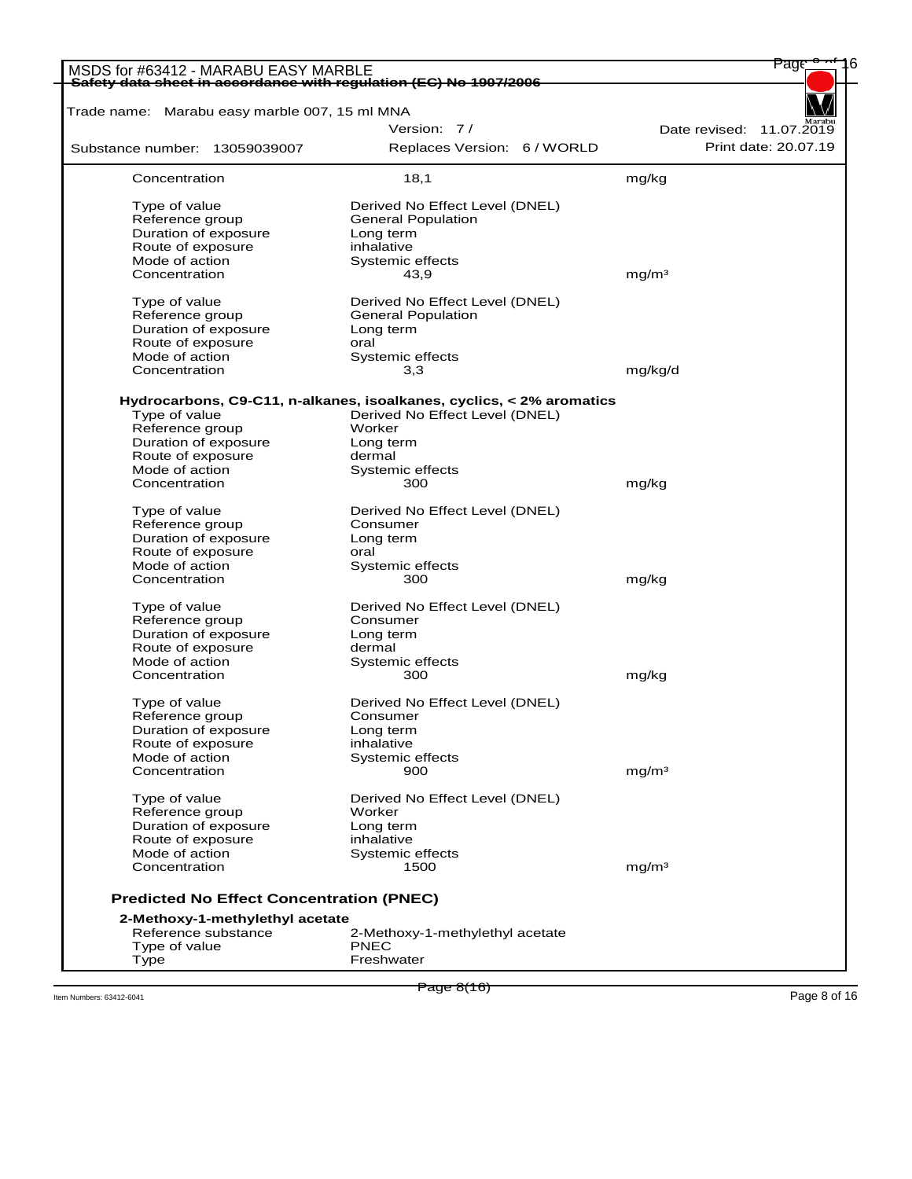| MSDS for #63412 - MARABU EASY MARBLE<br>Safety data sheet in accordance with regulation (EC) No 1907/2006 |                                                                      |                          |
|-----------------------------------------------------------------------------------------------------------|----------------------------------------------------------------------|--------------------------|
| Trade name: Marabu easy marble 007, 15 ml MNA                                                             |                                                                      |                          |
|                                                                                                           | Version: 7/                                                          | Date revised: 11.07.2019 |
|                                                                                                           |                                                                      | Print date: 20.07.19     |
| Substance number: 13059039007                                                                             | Replaces Version: 6 / WORLD                                          |                          |
| Concentration                                                                                             | 18,1                                                                 | mg/kg                    |
| Type of value                                                                                             | Derived No Effect Level (DNEL)                                       |                          |
| Reference group                                                                                           | <b>General Population</b>                                            |                          |
| Duration of exposure                                                                                      | Long term                                                            |                          |
| Route of exposure                                                                                         | inhalative                                                           |                          |
| Mode of action                                                                                            | Systemic effects                                                     |                          |
| Concentration                                                                                             | 43,9                                                                 | mq/m <sup>3</sup>        |
|                                                                                                           |                                                                      |                          |
| Type of value                                                                                             | Derived No Effect Level (DNEL)                                       |                          |
| Reference group                                                                                           | <b>General Population</b>                                            |                          |
| Duration of exposure                                                                                      | Long term                                                            |                          |
| Route of exposure                                                                                         | oral                                                                 |                          |
| Mode of action                                                                                            | Systemic effects                                                     |                          |
| Concentration                                                                                             | 3,3                                                                  | mg/kg/d                  |
|                                                                                                           | Hydrocarbons, C9-C11, n-alkanes, isoalkanes, cyclics, < 2% aromatics |                          |
| Type of value                                                                                             | Derived No Effect Level (DNEL)                                       |                          |
| Reference group                                                                                           | Worker                                                               |                          |
| Duration of exposure                                                                                      | Long term                                                            |                          |
| Route of exposure                                                                                         | dermal                                                               |                          |
| Mode of action                                                                                            | Systemic effects                                                     |                          |
| Concentration                                                                                             | 300                                                                  | mg/kg                    |
| Type of value                                                                                             | Derived No Effect Level (DNEL)                                       |                          |
| Reference group                                                                                           | Consumer                                                             |                          |
| Duration of exposure                                                                                      | Long term                                                            |                          |
| Route of exposure                                                                                         | oral                                                                 |                          |
|                                                                                                           |                                                                      |                          |
| Mode of action<br>Concentration                                                                           | Systemic effects<br>300                                              | mg/kg                    |
|                                                                                                           |                                                                      |                          |
| Type of value                                                                                             | Derived No Effect Level (DNEL)                                       |                          |
| Reference group                                                                                           | Consumer                                                             |                          |
| Duration of exposure                                                                                      | Long term                                                            |                          |
| Route of exposure                                                                                         | dermal                                                               |                          |
| Mode of action                                                                                            | Systemic effects                                                     |                          |
| Concentration                                                                                             | 300                                                                  | mg/kg                    |
| Type of value                                                                                             | Derived No Effect Level (DNEL)                                       |                          |
| Reference group                                                                                           | Consumer                                                             |                          |
| Duration of exposure                                                                                      | Long term                                                            |                          |
| Route of exposure                                                                                         | inhalative                                                           |                          |
| Mode of action                                                                                            | Systemic effects                                                     |                          |
| Concentration                                                                                             | 900                                                                  | mg/m <sup>3</sup>        |
| Type of value                                                                                             | Derived No Effect Level (DNEL)                                       |                          |
| Reference group                                                                                           | Worker                                                               |                          |
| Duration of exposure                                                                                      | Long term                                                            |                          |
|                                                                                                           |                                                                      |                          |
| Route of exposure                                                                                         | inhalative                                                           |                          |
| Mode of action<br>Concentration                                                                           | Systemic effects<br>1500                                             | mg/m <sup>3</sup>        |
|                                                                                                           |                                                                      |                          |
| <b>Predicted No Effect Concentration (PNEC)</b>                                                           |                                                                      |                          |
| 2-Methoxy-1-methylethyl acetate<br>Reference substance                                                    | 2-Methoxy-1-methylethyl acetate                                      |                          |
| Type of value                                                                                             | <b>PNEC</b>                                                          |                          |
|                                                                                                           | Freshwater                                                           |                          |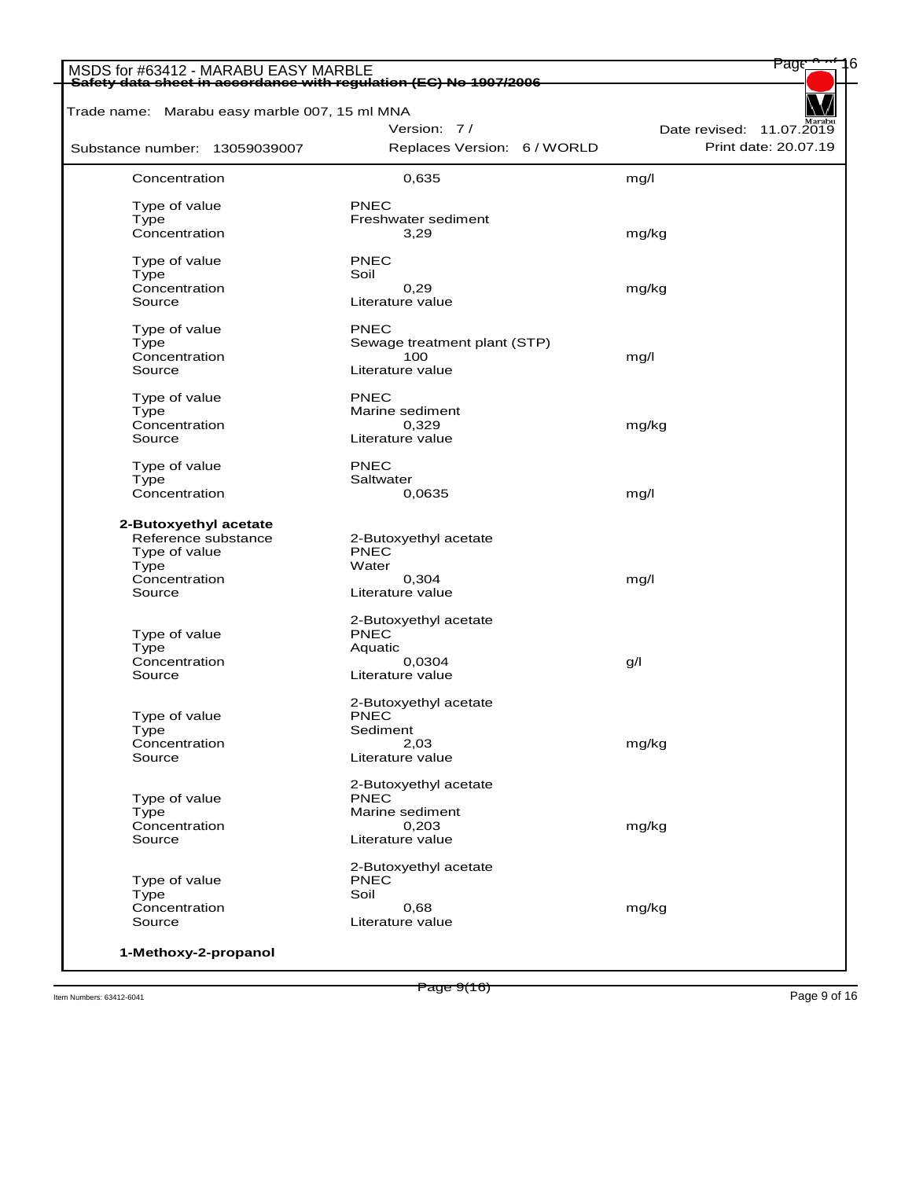| Trade name: Marabu easy marble 007, 15 ml MNA |                                      |                          |
|-----------------------------------------------|--------------------------------------|--------------------------|
|                                               | Version: 7/                          | Date revised: 11.07.2019 |
| Substance number: 13059039007                 | Replaces Version: 6 / WORLD          | Print date: 20.07.19     |
| Concentration                                 | 0,635                                | mg/l                     |
| Type of value                                 | <b>PNEC</b>                          |                          |
| Type                                          | Freshwater sediment                  |                          |
| Concentration                                 | 3,29                                 | mg/kg                    |
| Type of value                                 | <b>PNEC</b>                          |                          |
| Type                                          | Soil                                 |                          |
| Concentration                                 | 0,29                                 | mg/kg                    |
| Source                                        | Literature value                     |                          |
| Type of value                                 | PNEC                                 |                          |
|                                               |                                      |                          |
| Type                                          | Sewage treatment plant (STP)         |                          |
| Concentration<br>Source                       | 100<br>Literature value              | mg/l                     |
|                                               |                                      |                          |
| Type of value                                 | PNEC                                 |                          |
| Type                                          | Marine sediment                      |                          |
| Concentration                                 | 0,329                                | mg/kg                    |
| Source                                        | Literature value                     |                          |
| Type of value                                 | <b>PNEC</b>                          |                          |
| Type                                          | Saltwater                            |                          |
| Concentration                                 | 0,0635                               | mg/l                     |
|                                               |                                      |                          |
| 2-Butoxyethyl acetate                         |                                      |                          |
| Reference substance                           | 2-Butoxyethyl acetate                |                          |
| Type of value                                 | <b>PNEC</b>                          |                          |
| Type                                          | Water                                |                          |
| Concentration                                 | 0,304                                | mg/l                     |
| Source                                        | Literature value                     |                          |
|                                               | 2-Butoxyethyl acetate                |                          |
| Type of value                                 | <b>PNEC</b>                          |                          |
| Type                                          | Aquatic                              |                          |
| Concentration                                 | 0,0304                               | g/l                      |
| Source                                        | Literature value                     |                          |
|                                               | 2-Butoxyethyl acetate                |                          |
| Type of value                                 | <b>PNEC</b>                          |                          |
| Type                                          | Sediment                             |                          |
| Concentration                                 | 2,03                                 | mg/kg                    |
| Source                                        | Literature value                     |                          |
|                                               | 2-Butoxyethyl acetate                |                          |
| Type of value                                 | <b>PNEC</b>                          |                          |
| Type                                          | Marine sediment                      |                          |
| Concentration                                 | 0,203                                | mg/kg                    |
| Source                                        | Literature value                     |                          |
|                                               |                                      |                          |
| Type of value                                 | 2-Butoxyethyl acetate<br><b>PNEC</b> |                          |
| Type                                          | Soil                                 |                          |
| Concentration                                 | 0,68                                 | mg/kg                    |
| Source                                        | Literature value                     |                          |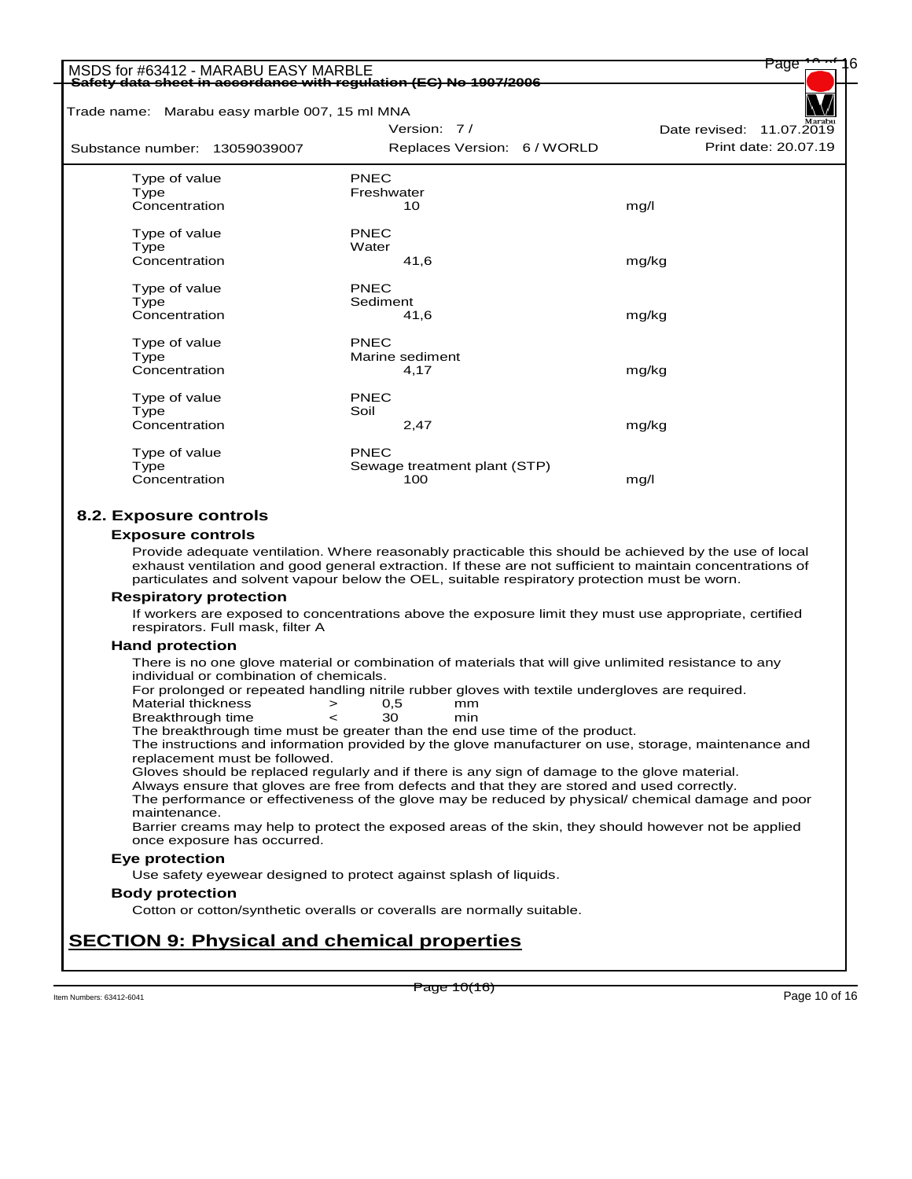| Trade name: Marabu easy marble 007, 15 ml MNA |                                                                                                                                                                                                                      |                          |
|-----------------------------------------------|----------------------------------------------------------------------------------------------------------------------------------------------------------------------------------------------------------------------|--------------------------|
|                                               | Version: 7/                                                                                                                                                                                                          | Date revised: 11.07.2019 |
| Substance number: 13059039007                 | Replaces Version: 6 / WORLD                                                                                                                                                                                          | Print date: 20.07.19     |
| Type of value                                 | <b>PNEC</b>                                                                                                                                                                                                          |                          |
| Type                                          | Freshwater                                                                                                                                                                                                           |                          |
| Concentration                                 | 10                                                                                                                                                                                                                   | mg/l                     |
| Type of value                                 | <b>PNEC</b>                                                                                                                                                                                                          |                          |
| Type                                          | Water                                                                                                                                                                                                                |                          |
| Concentration                                 | 41,6                                                                                                                                                                                                                 | mg/kg                    |
| Type of value                                 | <b>PNEC</b>                                                                                                                                                                                                          |                          |
| Type                                          | Sediment                                                                                                                                                                                                             |                          |
| Concentration                                 | 41,6                                                                                                                                                                                                                 | mg/kg                    |
| Type of value                                 | <b>PNEC</b>                                                                                                                                                                                                          |                          |
| Type                                          | Marine sediment                                                                                                                                                                                                      |                          |
| Concentration                                 | 4,17                                                                                                                                                                                                                 | mg/kg                    |
|                                               |                                                                                                                                                                                                                      |                          |
| Type of value<br>Type                         | <b>PNEC</b><br>Soil                                                                                                                                                                                                  |                          |
| Concentration                                 | 2,47                                                                                                                                                                                                                 | mg/kg                    |
|                                               | PNEC                                                                                                                                                                                                                 |                          |
| Type of value<br>Type                         | Sewage treatment plant (STP)                                                                                                                                                                                         |                          |
| Concentration                                 | 100                                                                                                                                                                                                                  | mg/l                     |
|                                               | Provide adequate ventilation. Where reasonably practicable this should be achieved by the use of local<br>exhaust ventilation and good general extraction. If these are not sufficient to maintain concentrations of |                          |
|                                               | particulates and solvent vapour below the OEL, suitable respiratory protection must be worn.                                                                                                                         |                          |
| <b>Respiratory protection</b>                 |                                                                                                                                                                                                                      |                          |
| respirators. Full mask, filter A              | If workers are exposed to concentrations above the exposure limit they must use appropriate, certified                                                                                                               |                          |
| <b>Hand protection</b>                        |                                                                                                                                                                                                                      |                          |
|                                               | There is no one glove material or combination of materials that will give unlimited resistance to any                                                                                                                |                          |
|                                               |                                                                                                                                                                                                                      |                          |
| individual or combination of chemicals.       |                                                                                                                                                                                                                      |                          |
|                                               | For prolonged or repeated handling nitrile rubber gloves with textile undergloves are required.                                                                                                                      |                          |
| <b>Material thickness</b>                     | 0,5<br>$\, > \,$<br>mm<br>30<br>min                                                                                                                                                                                  |                          |
| Breakthrough time                             | The breakthrough time must be greater than the end use time of the product.                                                                                                                                          |                          |
|                                               | The instructions and information provided by the glove manufacturer on use, storage, maintenance and                                                                                                                 |                          |
| replacement must be followed.                 |                                                                                                                                                                                                                      |                          |
|                                               | Gloves should be replaced regularly and if there is any sign of damage to the glove material.                                                                                                                        |                          |
|                                               | Always ensure that gloves are free from defects and that they are stored and used correctly.<br>The performance or effectiveness of the glove may be reduced by physical/ chemical damage and poor                   |                          |
| maintenance.                                  |                                                                                                                                                                                                                      |                          |
|                                               | Barrier creams may help to protect the exposed areas of the skin, they should however not be applied                                                                                                                 |                          |
| once exposure has occurred.                   |                                                                                                                                                                                                                      |                          |
| <b>Eye protection</b>                         | Use safety eyewear designed to protect against splash of liquids.                                                                                                                                                    |                          |
| <b>Body protection</b>                        |                                                                                                                                                                                                                      |                          |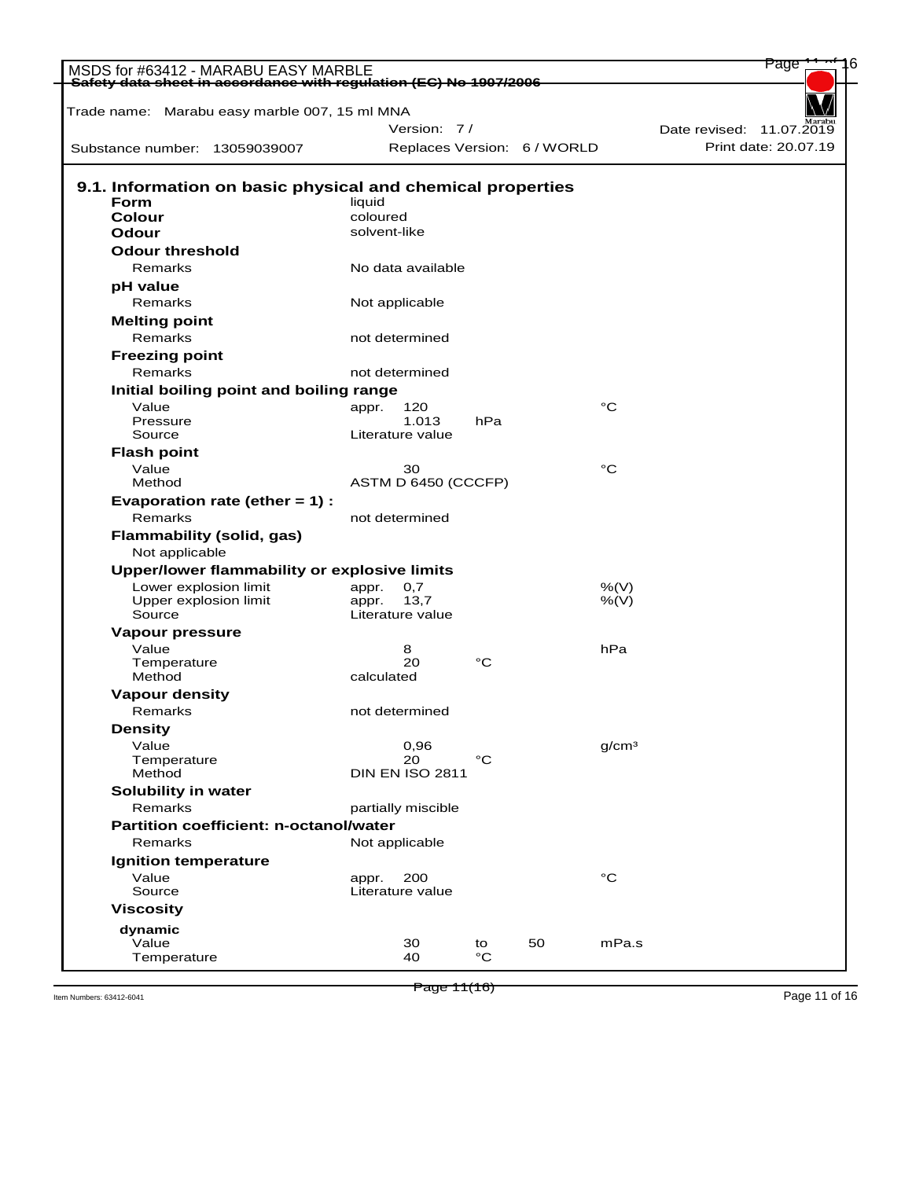| MSDS for #63412 - MARABU EASY MARBLE                               |                |                        |     |                             |                   | Page                     |
|--------------------------------------------------------------------|----------------|------------------------|-----|-----------------------------|-------------------|--------------------------|
| Safety data sheet in accordance with regulation (EC) No 1907/2006  |                |                        |     |                             |                   |                          |
| Trade name: Marabu easy marble 007, 15 ml MNA                      |                |                        |     |                             |                   |                          |
|                                                                    |                | Version: 7/            |     |                             |                   | Date revised: 11.07.2019 |
| Substance number: 13059039007                                      |                |                        |     | Replaces Version: 6 / WORLD |                   | Print date: 20.07.19     |
|                                                                    |                |                        |     |                             |                   |                          |
| 9.1. Information on basic physical and chemical properties<br>Form | liquid         |                        |     |                             |                   |                          |
| Colour                                                             | coloured       |                        |     |                             |                   |                          |
| Odour                                                              | solvent-like   |                        |     |                             |                   |                          |
| <b>Odour threshold</b>                                             |                |                        |     |                             |                   |                          |
| Remarks                                                            |                | No data available      |     |                             |                   |                          |
| pH value                                                           |                |                        |     |                             |                   |                          |
| Remarks                                                            | Not applicable |                        |     |                             |                   |                          |
| <b>Melting point</b>                                               |                |                        |     |                             |                   |                          |
| Remarks                                                            |                | not determined         |     |                             |                   |                          |
| <b>Freezing point</b>                                              |                |                        |     |                             |                   |                          |
| Remarks                                                            |                | not determined         |     |                             |                   |                          |
| Initial boiling point and boiling range                            |                |                        |     |                             |                   |                          |
| Value                                                              | appr.          | 120                    |     |                             | °C                |                          |
| Pressure                                                           |                | 1.013                  | hPa |                             |                   |                          |
| Source                                                             |                | Literature value       |     |                             |                   |                          |
| <b>Flash point</b>                                                 |                |                        |     |                             |                   |                          |
| Value                                                              |                | 30                     |     |                             | °C                |                          |
| Method                                                             |                | ASTM D 6450 (CCCFP)    |     |                             |                   |                          |
| Evaporation rate (ether = 1) :                                     |                |                        |     |                             |                   |                          |
| Remarks                                                            |                | not determined         |     |                             |                   |                          |
| <b>Flammability (solid, gas)</b>                                   |                |                        |     |                             |                   |                          |
| Not applicable<br>Upper/lower flammability or explosive limits     |                |                        |     |                             |                   |                          |
| Lower explosion limit                                              | appr.          | 0,7                    |     |                             | %(V)              |                          |
| Upper explosion limit                                              | appr.          | 13,7                   |     |                             | $%$ (V)           |                          |
| Source                                                             |                | Literature value       |     |                             |                   |                          |
| Vapour pressure                                                    |                |                        |     |                             |                   |                          |
| Value                                                              |                | 8                      |     |                             | hPa               |                          |
| Temperature                                                        |                | 20                     | °C  |                             |                   |                          |
| Method                                                             | calculated     |                        |     |                             |                   |                          |
| <b>Vapour density</b>                                              |                |                        |     |                             |                   |                          |
| Remarks                                                            |                | not determined         |     |                             |                   |                          |
| <b>Density</b>                                                     |                |                        |     |                             |                   |                          |
| Value<br>Temperature                                               |                | 0,96<br>20             | °C  |                             | q/cm <sup>3</sup> |                          |
| Method                                                             |                | <b>DIN EN ISO 2811</b> |     |                             |                   |                          |
| Solubility in water                                                |                |                        |     |                             |                   |                          |
| Remarks                                                            |                | partially miscible     |     |                             |                   |                          |
| <b>Partition coefficient: n-octanol/water</b>                      |                |                        |     |                             |                   |                          |
| Remarks                                                            |                | Not applicable         |     |                             |                   |                          |
| <b>Ignition temperature</b>                                        |                |                        |     |                             |                   |                          |
| Value                                                              | appr.          | 200                    |     |                             | °C                |                          |
| Source                                                             |                | Literature value       |     |                             |                   |                          |
| <b>Viscosity</b>                                                   |                |                        |     |                             |                   |                          |
| dynamic                                                            |                |                        |     |                             |                   |                          |
| Value                                                              |                | 30                     | to  | 50                          | mPa.s             |                          |
| Temperature                                                        |                | 40                     | °C  |                             |                   |                          |

Page 11(16)

Them Numbers: 63412-6041 **Page 11 (16) Page 11** (16)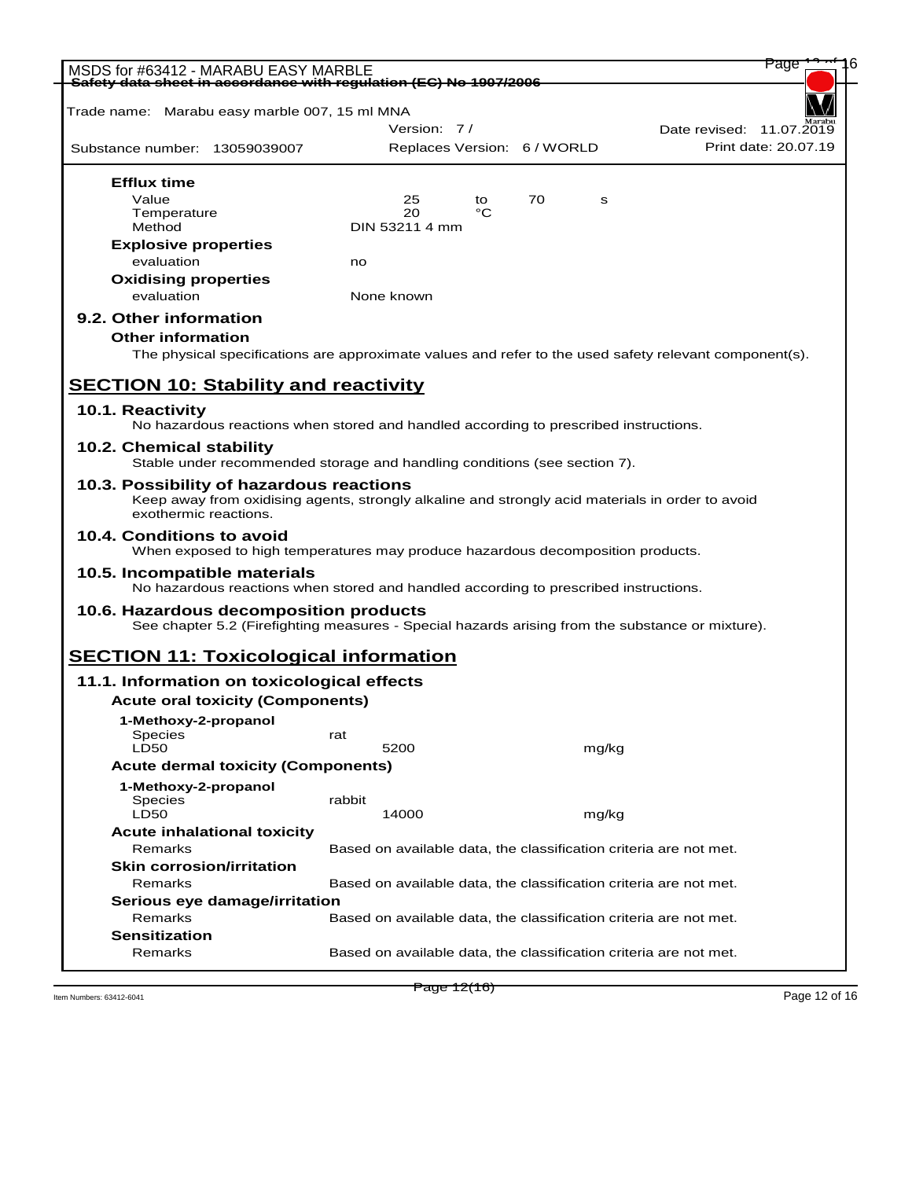| MSDS for #63412 - MARABU EASY MARBLE                                                                                                                                  |        |                |    |                             |       | Page                                                              |
|-----------------------------------------------------------------------------------------------------------------------------------------------------------------------|--------|----------------|----|-----------------------------|-------|-------------------------------------------------------------------|
| Safety data sheet in accordance with regulation (EC) No 1907/2006                                                                                                     |        |                |    |                             |       |                                                                   |
| Trade name: Marabu easy marble 007, 15 ml MNA                                                                                                                         |        |                |    |                             |       |                                                                   |
|                                                                                                                                                                       |        | Version: 7/    |    |                             |       | Date revised: 11.07.2019                                          |
| Substance number: 13059039007                                                                                                                                         |        |                |    | Replaces Version: 6 / WORLD |       | Print date: 20.07.19                                              |
| <b>Efflux time</b>                                                                                                                                                    |        |                |    |                             |       |                                                                   |
| Value                                                                                                                                                                 |        | 25             | to | 70                          | s     |                                                                   |
| Temperature                                                                                                                                                           |        | 20             | °C |                             |       |                                                                   |
| Method                                                                                                                                                                |        | DIN 53211 4 mm |    |                             |       |                                                                   |
| <b>Explosive properties</b>                                                                                                                                           |        |                |    |                             |       |                                                                   |
| evaluation                                                                                                                                                            | no     |                |    |                             |       |                                                                   |
| <b>Oxidising properties</b>                                                                                                                                           |        |                |    |                             |       |                                                                   |
| evaluation                                                                                                                                                            |        | None known     |    |                             |       |                                                                   |
| 9.2. Other information                                                                                                                                                |        |                |    |                             |       |                                                                   |
| <b>Other information</b>                                                                                                                                              |        |                |    |                             |       |                                                                   |
|                                                                                                                                                                       |        |                |    |                             |       |                                                                   |
| The physical specifications are approximate values and refer to the used safety relevant component(s).                                                                |        |                |    |                             |       |                                                                   |
| <b>SECTION 10: Stability and reactivity</b>                                                                                                                           |        |                |    |                             |       |                                                                   |
| 10.1. Reactivity                                                                                                                                                      |        |                |    |                             |       |                                                                   |
| No hazardous reactions when stored and handled according to prescribed instructions.                                                                                  |        |                |    |                             |       |                                                                   |
| 10.2. Chemical stability<br>Stable under recommended storage and handling conditions (see section 7).                                                                 |        |                |    |                             |       |                                                                   |
|                                                                                                                                                                       |        |                |    |                             |       |                                                                   |
| 10.3. Possibility of hazardous reactions<br>Keep away from oxidising agents, strongly alkaline and strongly acid materials in order to avoid<br>exothermic reactions. |        |                |    |                             |       |                                                                   |
| 10.4. Conditions to avoid<br>When exposed to high temperatures may produce hazardous decomposition products.                                                          |        |                |    |                             |       |                                                                   |
| 10.5. Incompatible materials<br>No hazardous reactions when stored and handled according to prescribed instructions.                                                  |        |                |    |                             |       |                                                                   |
| 10.6. Hazardous decomposition products                                                                                                                                |        |                |    |                             |       |                                                                   |
| See chapter 5.2 (Firefighting measures - Special hazards arising from the substance or mixture).                                                                      |        |                |    |                             |       |                                                                   |
| <b>SECTION 11: Toxicological information</b>                                                                                                                          |        |                |    |                             |       |                                                                   |
| 11.1. Information on toxicological effects                                                                                                                            |        |                |    |                             |       |                                                                   |
| <b>Acute oral toxicity (Components)</b>                                                                                                                               |        |                |    |                             |       |                                                                   |
| 1-Methoxy-2-propanol                                                                                                                                                  |        |                |    |                             |       |                                                                   |
| Species                                                                                                                                                               | rat    |                |    |                             |       |                                                                   |
| <b>LD50</b>                                                                                                                                                           |        | 5200           |    |                             | mg/kg |                                                                   |
| <b>Acute dermal toxicity (Components)</b>                                                                                                                             |        |                |    |                             |       |                                                                   |
| 1-Methoxy-2-propanol                                                                                                                                                  |        |                |    |                             |       |                                                                   |
| Species                                                                                                                                                               | rabbit |                |    |                             |       |                                                                   |
| LD50                                                                                                                                                                  |        | 14000          |    |                             | mg/kg |                                                                   |
| <b>Acute inhalational toxicity</b>                                                                                                                                    |        |                |    |                             |       |                                                                   |
| Remarks                                                                                                                                                               |        |                |    |                             |       | Based on available data, the classification criteria are not met. |
| <b>Skin corrosion/irritation</b>                                                                                                                                      |        |                |    |                             |       |                                                                   |
| Remarks                                                                                                                                                               |        |                |    |                             |       | Based on available data, the classification criteria are not met. |
| Serious eye damage/irritation                                                                                                                                         |        |                |    |                             |       |                                                                   |
| Remarks                                                                                                                                                               |        |                |    |                             |       | Based on available data, the classification criteria are not met. |
| <b>Sensitization</b>                                                                                                                                                  |        |                |    |                             |       |                                                                   |
| Remarks                                                                                                                                                               |        |                |    |                             |       | Based on available data, the classification criteria are not met. |
|                                                                                                                                                                       |        |                |    |                             |       |                                                                   |

Page 12(16)

Item Numbers: 63412-6041 **Page 12** (T**O**) **Page 12** (TO) **Page 12** of 16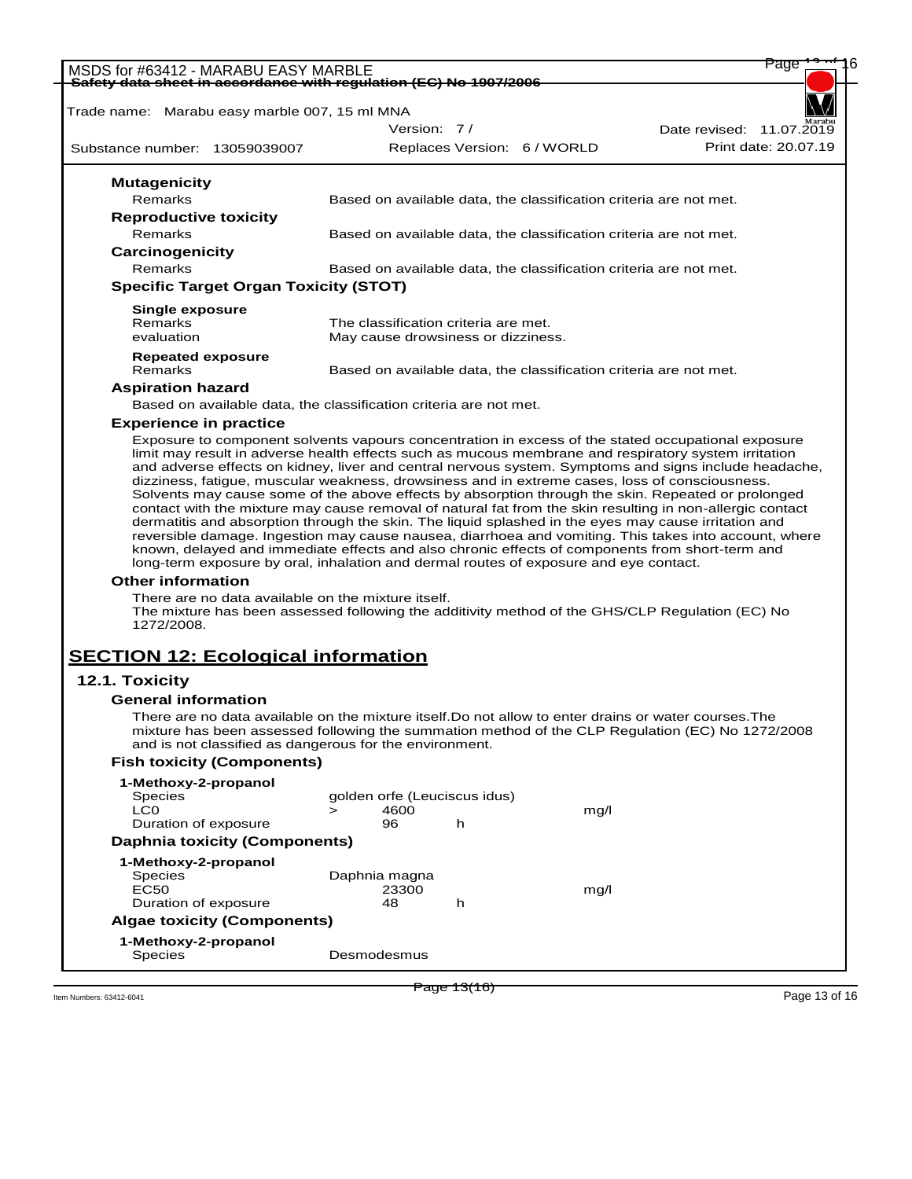| MSDS for #63412 - MARABU EASY MARBLE                                                                                                                                                                                                                                                                                                                                                                                                                                                                                                               |               |             |                                      |                             |                                                                   | rage                 |
|----------------------------------------------------------------------------------------------------------------------------------------------------------------------------------------------------------------------------------------------------------------------------------------------------------------------------------------------------------------------------------------------------------------------------------------------------------------------------------------------------------------------------------------------------|---------------|-------------|--------------------------------------|-----------------------------|-------------------------------------------------------------------|----------------------|
| Safety data sheet in accordance with regulation (EC) No 1907/2006                                                                                                                                                                                                                                                                                                                                                                                                                                                                                  |               |             |                                      |                             |                                                                   |                      |
| Trade name: Marabu easy marble 007, 15 ml MNA                                                                                                                                                                                                                                                                                                                                                                                                                                                                                                      |               |             |                                      |                             |                                                                   |                      |
|                                                                                                                                                                                                                                                                                                                                                                                                                                                                                                                                                    |               | Version: 7/ |                                      |                             | Date revised: 11.07.2019                                          |                      |
| Substance number: 13059039007                                                                                                                                                                                                                                                                                                                                                                                                                                                                                                                      |               |             |                                      | Replaces Version: 6 / WORLD |                                                                   | Print date: 20.07.19 |
| <b>Mutagenicity</b>                                                                                                                                                                                                                                                                                                                                                                                                                                                                                                                                |               |             |                                      |                             |                                                                   |                      |
| Remarks                                                                                                                                                                                                                                                                                                                                                                                                                                                                                                                                            |               |             |                                      |                             | Based on available data, the classification criteria are not met. |                      |
| <b>Reproductive toxicity</b>                                                                                                                                                                                                                                                                                                                                                                                                                                                                                                                       |               |             |                                      |                             |                                                                   |                      |
| Remarks                                                                                                                                                                                                                                                                                                                                                                                                                                                                                                                                            |               |             |                                      |                             | Based on available data, the classification criteria are not met. |                      |
| Carcinogenicity                                                                                                                                                                                                                                                                                                                                                                                                                                                                                                                                    |               |             |                                      |                             |                                                                   |                      |
| <b>Remarks</b>                                                                                                                                                                                                                                                                                                                                                                                                                                                                                                                                     |               |             |                                      |                             | Based on available data, the classification criteria are not met. |                      |
| <b>Specific Target Organ Toxicity (STOT)</b>                                                                                                                                                                                                                                                                                                                                                                                                                                                                                                       |               |             |                                      |                             |                                                                   |                      |
| <b>Single exposure</b>                                                                                                                                                                                                                                                                                                                                                                                                                                                                                                                             |               |             |                                      |                             |                                                                   |                      |
| Remarks                                                                                                                                                                                                                                                                                                                                                                                                                                                                                                                                            |               |             | The classification criteria are met. |                             |                                                                   |                      |
| evaluation                                                                                                                                                                                                                                                                                                                                                                                                                                                                                                                                         |               |             | May cause drowsiness or dizziness.   |                             |                                                                   |                      |
| <b>Repeated exposure</b>                                                                                                                                                                                                                                                                                                                                                                                                                                                                                                                           |               |             |                                      |                             |                                                                   |                      |
| Remarks                                                                                                                                                                                                                                                                                                                                                                                                                                                                                                                                            |               |             |                                      |                             | Based on available data, the classification criteria are not met. |                      |
| <b>Aspiration hazard</b>                                                                                                                                                                                                                                                                                                                                                                                                                                                                                                                           |               |             |                                      |                             |                                                                   |                      |
| Based on available data, the classification criteria are not met.                                                                                                                                                                                                                                                                                                                                                                                                                                                                                  |               |             |                                      |                             |                                                                   |                      |
| <b>Experience in practice</b>                                                                                                                                                                                                                                                                                                                                                                                                                                                                                                                      |               |             |                                      |                             |                                                                   |                      |
| contact with the mixture may cause removal of natural fat from the skin resulting in non-allergic contact<br>dermatitis and absorption through the skin. The liquid splashed in the eyes may cause irritation and<br>reversible damage. Ingestion may cause nausea, diarrhoea and vomiting. This takes into account, where<br>known, delayed and immediate effects and also chronic effects of components from short-term and<br>long-term exposure by oral, inhalation and dermal routes of exposure and eye contact.<br><b>Other information</b> |               |             |                                      |                             |                                                                   |                      |
| There are no data available on the mixture itself.                                                                                                                                                                                                                                                                                                                                                                                                                                                                                                 |               |             |                                      |                             |                                                                   |                      |
| The mixture has been assessed following the additivity method of the GHS/CLP Regulation (EC) No<br>1272/2008.                                                                                                                                                                                                                                                                                                                                                                                                                                      |               |             |                                      |                             |                                                                   |                      |
| <b>SECTION 12: Ecological information</b>                                                                                                                                                                                                                                                                                                                                                                                                                                                                                                          |               |             |                                      |                             |                                                                   |                      |
| 12.1. Toxicity                                                                                                                                                                                                                                                                                                                                                                                                                                                                                                                                     |               |             |                                      |                             |                                                                   |                      |
| <b>General information</b>                                                                                                                                                                                                                                                                                                                                                                                                                                                                                                                         |               |             |                                      |                             |                                                                   |                      |
| There are no data available on the mixture itself. Do not allow to enter drains or water courses. The<br>mixture has been assessed following the summation method of the CLP Regulation (EC) No 1272/2008<br>and is not classified as dangerous for the environment.                                                                                                                                                                                                                                                                               |               |             |                                      |                             |                                                                   |                      |
| <b>Fish toxicity (Components)</b>                                                                                                                                                                                                                                                                                                                                                                                                                                                                                                                  |               |             |                                      |                             |                                                                   |                      |
| 1-Methoxy-2-propanol                                                                                                                                                                                                                                                                                                                                                                                                                                                                                                                               |               |             |                                      |                             |                                                                   |                      |
| <b>Species</b>                                                                                                                                                                                                                                                                                                                                                                                                                                                                                                                                     |               |             | golden orfe (Leuciscus idus)         |                             |                                                                   |                      |
| LC0                                                                                                                                                                                                                                                                                                                                                                                                                                                                                                                                                | $\geq$        | 4600        |                                      | mg/l                        |                                                                   |                      |
| Duration of exposure                                                                                                                                                                                                                                                                                                                                                                                                                                                                                                                               |               | 96          | h                                    |                             |                                                                   |                      |
| <b>Daphnia toxicity (Components)</b>                                                                                                                                                                                                                                                                                                                                                                                                                                                                                                               |               |             |                                      |                             |                                                                   |                      |
| 1-Methoxy-2-propanol                                                                                                                                                                                                                                                                                                                                                                                                                                                                                                                               |               |             |                                      |                             |                                                                   |                      |
| Species<br>EC50                                                                                                                                                                                                                                                                                                                                                                                                                                                                                                                                    | Daphnia magna |             |                                      |                             |                                                                   |                      |
| Duration of exposure                                                                                                                                                                                                                                                                                                                                                                                                                                                                                                                               |               | 23300<br>48 | h                                    | mg/l                        |                                                                   |                      |
| <b>Algae toxicity (Components)</b>                                                                                                                                                                                                                                                                                                                                                                                                                                                                                                                 |               |             |                                      |                             |                                                                   |                      |
| 1-Methoxy-2-propanol                                                                                                                                                                                                                                                                                                                                                                                                                                                                                                                               |               |             |                                      |                             |                                                                   |                      |
| <b>Species</b>                                                                                                                                                                                                                                                                                                                                                                                                                                                                                                                                     | Desmodesmus   |             |                                      |                             |                                                                   |                      |

Them Numbers: 63412-6041 **Page 13** (TO) **Page 13** (TO) **Page 13** of 16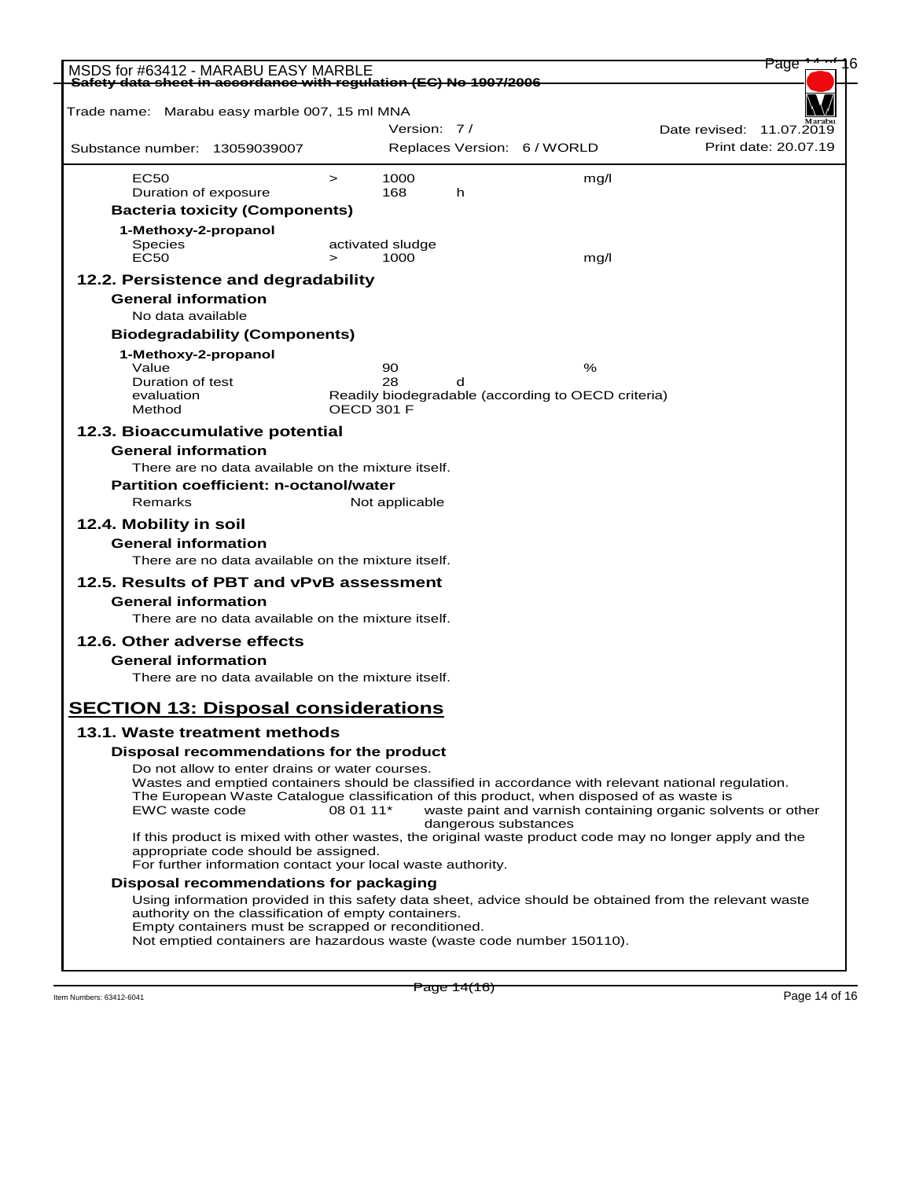| MSDS for #63412 - MARABU EASY MARBLE                                                                                                                  |            |                  |                      |                                                    | Page                                                         |
|-------------------------------------------------------------------------------------------------------------------------------------------------------|------------|------------------|----------------------|----------------------------------------------------|--------------------------------------------------------------|
| <del>Safety data sheet in accordance with regulation (EC) No 1907/2006</del>                                                                          |            |                  |                      |                                                    |                                                              |
| Trade name: Marabu easy marble 007, 15 ml MNA                                                                                                         |            |                  |                      |                                                    |                                                              |
| Substance number: 13059039007                                                                                                                         |            | Version: 7/      |                      | Replaces Version: 6 / WORLD                        | Date revised: 11.07.2019<br>Print date: 20.07.19             |
|                                                                                                                                                       |            |                  |                      |                                                    |                                                              |
| EC50                                                                                                                                                  | $\geq$     | 1000             |                      | mq/l                                               |                                                              |
| Duration of exposure<br><b>Bacteria toxicity (Components)</b>                                                                                         |            | 168              | h                    |                                                    |                                                              |
| 1-Methoxy-2-propanol                                                                                                                                  |            |                  |                      |                                                    |                                                              |
| <b>Species</b>                                                                                                                                        |            | activated sludge |                      |                                                    |                                                              |
| <b>EC50</b>                                                                                                                                           | $\geq$     | 1000             |                      | mg/l                                               |                                                              |
| 12.2. Persistence and degradability                                                                                                                   |            |                  |                      |                                                    |                                                              |
| <b>General information</b>                                                                                                                            |            |                  |                      |                                                    |                                                              |
| No data available<br><b>Biodegradability (Components)</b>                                                                                             |            |                  |                      |                                                    |                                                              |
| 1-Methoxy-2-propanol                                                                                                                                  |            |                  |                      |                                                    |                                                              |
| Value                                                                                                                                                 |            | 90               |                      | %                                                  |                                                              |
| Duration of test<br>evaluation                                                                                                                        |            | 28               | d                    | Readily biodegradable (according to OECD criteria) |                                                              |
| Method                                                                                                                                                | OECD 301 F |                  |                      |                                                    |                                                              |
| 12.3. Bioaccumulative potential                                                                                                                       |            |                  |                      |                                                    |                                                              |
| <b>General information</b>                                                                                                                            |            |                  |                      |                                                    |                                                              |
| There are no data available on the mixture itself.                                                                                                    |            |                  |                      |                                                    |                                                              |
| <b>Partition coefficient: n-octanol/water</b>                                                                                                         |            |                  |                      |                                                    |                                                              |
| Remarks                                                                                                                                               |            | Not applicable   |                      |                                                    |                                                              |
| 12.4. Mobility in soil                                                                                                                                |            |                  |                      |                                                    |                                                              |
| <b>General information</b><br>There are no data available on the mixture itself.                                                                      |            |                  |                      |                                                    |                                                              |
|                                                                                                                                                       |            |                  |                      |                                                    |                                                              |
| 12.5. Results of PBT and vPvB assessment                                                                                                              |            |                  |                      |                                                    |                                                              |
| <b>General information</b><br>There are no data available on the mixture itself.                                                                      |            |                  |                      |                                                    |                                                              |
| 12.6. Other adverse effects                                                                                                                           |            |                  |                      |                                                    |                                                              |
| <b>General information</b>                                                                                                                            |            |                  |                      |                                                    |                                                              |
| There are no data available on the mixture itself.                                                                                                    |            |                  |                      |                                                    |                                                              |
|                                                                                                                                                       |            |                  |                      |                                                    |                                                              |
| <b>SECTION 13: Disposal considerations</b>                                                                                                            |            |                  |                      |                                                    |                                                              |
| 13.1. Waste treatment methods                                                                                                                         |            |                  |                      |                                                    |                                                              |
| Disposal recommendations for the product                                                                                                              |            |                  |                      |                                                    |                                                              |
| Do not allow to enter drains or water courses.<br>Wastes and emptied containers should be classified in accordance with relevant national regulation. |            |                  |                      |                                                    |                                                              |
| The European Waste Catalogue classification of this product, when disposed of as waste is                                                             |            |                  |                      |                                                    |                                                              |
| EWC waste code                                                                                                                                        | 08 01 11*  |                  | dangerous substances |                                                    | waste paint and varnish containing organic solvents or other |
| If this product is mixed with other wastes, the original waste product code may no longer apply and the                                               |            |                  |                      |                                                    |                                                              |
| appropriate code should be assigned.<br>For further information contact your local waste authority.                                                   |            |                  |                      |                                                    |                                                              |
| Disposal recommendations for packaging                                                                                                                |            |                  |                      |                                                    |                                                              |
| Using information provided in this safety data sheet, advice should be obtained from the relevant waste                                               |            |                  |                      |                                                    |                                                              |
| authority on the classification of empty containers.<br>Empty containers must be scrapped or reconditioned.                                           |            |                  |                      |                                                    |                                                              |
| Not emptied containers are hazardous waste (waste code number 150110).                                                                                |            |                  |                      |                                                    |                                                              |
|                                                                                                                                                       |            |                  |                      |                                                    |                                                              |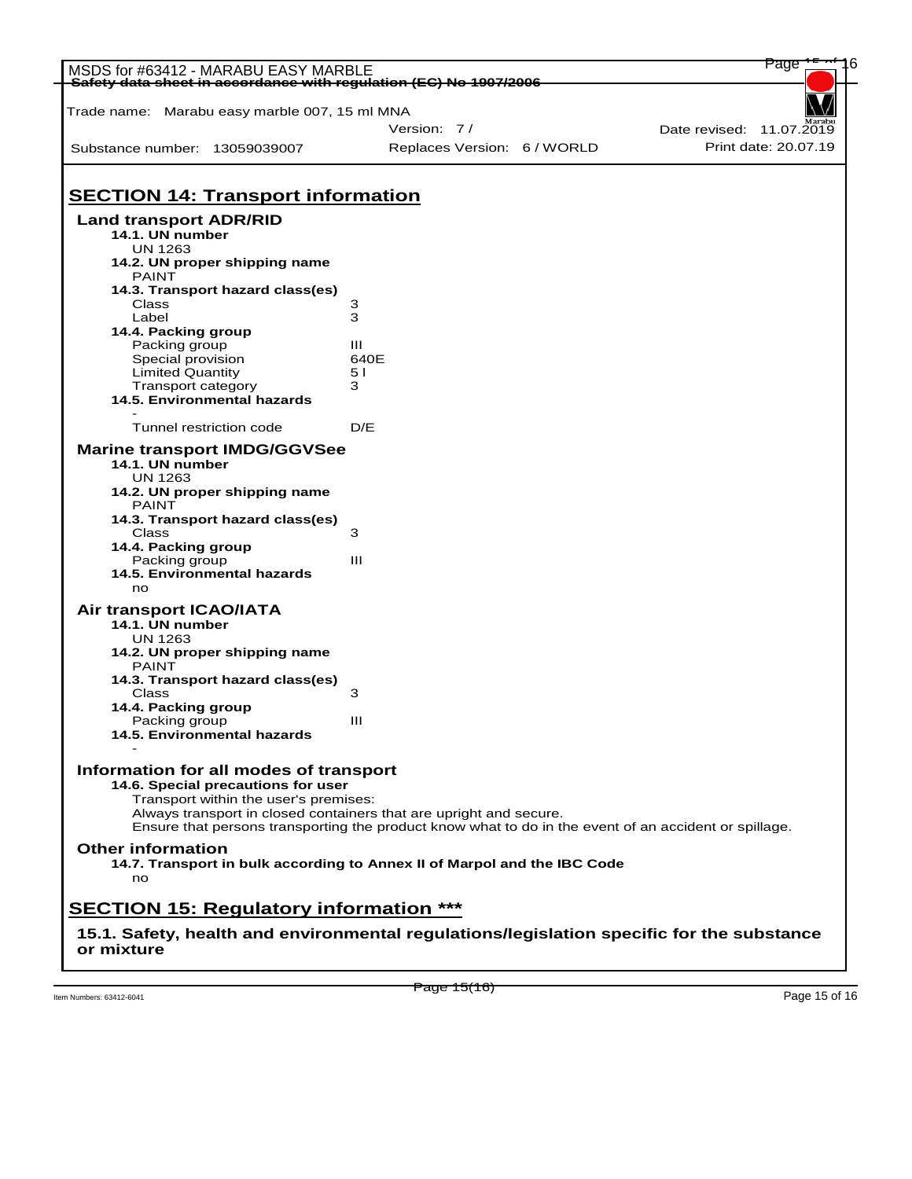| MSDS for #63412 - MARABU EASY MARBLE<br>Safety data sheet in accordance with regulation (EC) No 1907/2006 |                                                                                                       | Page                     |  |
|-----------------------------------------------------------------------------------------------------------|-------------------------------------------------------------------------------------------------------|--------------------------|--|
|                                                                                                           |                                                                                                       |                          |  |
| Trade name: Marabu easy marble 007, 15 ml MNA                                                             |                                                                                                       |                          |  |
|                                                                                                           | Version: 7/                                                                                           | Date revised: 11.07.2019 |  |
| Substance number: 13059039007                                                                             | Replaces Version: 6 / WORLD                                                                           | Print date: 20.07.19     |  |
| <b>SECTION 14: Transport information</b>                                                                  |                                                                                                       |                          |  |
|                                                                                                           |                                                                                                       |                          |  |
| <b>Land transport ADR/RID</b><br>14.1. UN number<br><b>UN 1263</b>                                        |                                                                                                       |                          |  |
| 14.2. UN proper shipping name<br><b>PAINT</b>                                                             |                                                                                                       |                          |  |
| 14.3. Transport hazard class(es)                                                                          |                                                                                                       |                          |  |
| Class                                                                                                     | з                                                                                                     |                          |  |
| Label                                                                                                     | 3                                                                                                     |                          |  |
| 14.4. Packing group<br>Packing group                                                                      | Ш                                                                                                     |                          |  |
| Special provision                                                                                         | 640E                                                                                                  |                          |  |
| Limited Quantity                                                                                          | 5 I                                                                                                   |                          |  |
| Transport category                                                                                        | 3                                                                                                     |                          |  |
| 14.5. Environmental hazards                                                                               |                                                                                                       |                          |  |
| Tunnel restriction code                                                                                   | D/E                                                                                                   |                          |  |
| <b>Marine transport IMDG/GGVSee</b><br>14.1. UN number                                                    |                                                                                                       |                          |  |
| <b>UN 1263</b><br>14.2. UN proper shipping name                                                           |                                                                                                       |                          |  |
| <b>PAINT</b>                                                                                              |                                                                                                       |                          |  |
| 14.3. Transport hazard class(es)                                                                          |                                                                                                       |                          |  |
| Class                                                                                                     | 3                                                                                                     |                          |  |
| 14.4. Packing group<br>Packing group                                                                      | Ш                                                                                                     |                          |  |
| 14.5. Environmental hazards                                                                               |                                                                                                       |                          |  |
| no                                                                                                        |                                                                                                       |                          |  |
| Air transport ICAO/IATA                                                                                   |                                                                                                       |                          |  |
| 14.1. UN number<br><b>UN 1263</b>                                                                         |                                                                                                       |                          |  |
| 14.2. UN proper shipping name                                                                             |                                                                                                       |                          |  |
| <b>PAINT</b>                                                                                              |                                                                                                       |                          |  |
| 14.3. Transport hazard class(es)                                                                          |                                                                                                       |                          |  |
| Class                                                                                                     | 3                                                                                                     |                          |  |
| 14.4. Packing group                                                                                       |                                                                                                       |                          |  |
| Packing group                                                                                             | Ш                                                                                                     |                          |  |
| 14.5. Environmental hazards                                                                               |                                                                                                       |                          |  |
| Information for all modes of transport                                                                    |                                                                                                       |                          |  |
| 14.6. Special precautions for user                                                                        |                                                                                                       |                          |  |
| Transport within the user's premises:                                                                     |                                                                                                       |                          |  |
|                                                                                                           | Always transport in closed containers that are upright and secure.                                    |                          |  |
|                                                                                                           | Ensure that persons transporting the product know what to do in the event of an accident or spillage. |                          |  |
| <b>Other information</b>                                                                                  | 14.7. Transport in bulk according to Annex II of Marpol and the IBC Code                              |                          |  |
| no                                                                                                        |                                                                                                       |                          |  |
| <b>SECTION 15: Regulatory information ***</b>                                                             |                                                                                                       |                          |  |
|                                                                                                           | 15.1. Safety, health and environmental regulations/legislation specific for the substance             |                          |  |
| or mixture                                                                                                |                                                                                                       |                          |  |